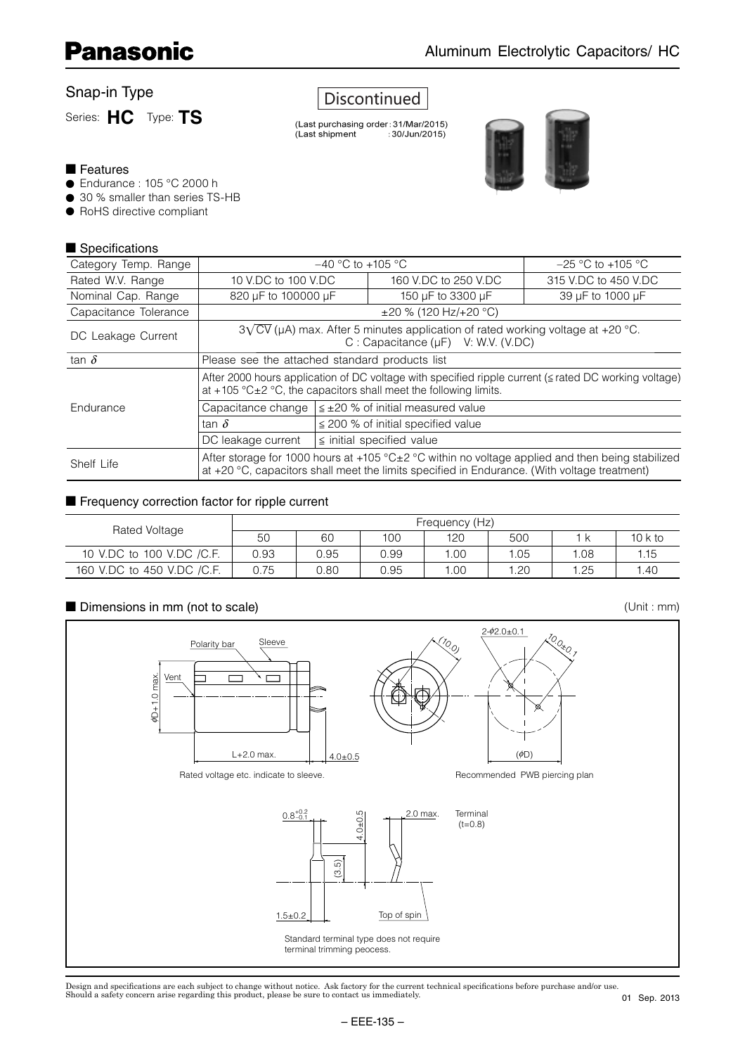#### Snap-in Type

Series: **HC** Type: **TS**

### **Discontinued**

(Last purchasing order: 31/Mar/2015) (Last shipment  $:30/Jun/2015)$ 



#### ■ Features

- Endurance : 105 °C 2000 h
- 30 % smaller than series TS-HB
- RoHS directive compliant

#### ■ Specifications

| Category Temp. Range  |                                                                                                                                                                                                        | $-40$ °C to +105 °C                                                                                                                |                                                                | $-25$ °C to +105 °C  |  |  |  |  |
|-----------------------|--------------------------------------------------------------------------------------------------------------------------------------------------------------------------------------------------------|------------------------------------------------------------------------------------------------------------------------------------|----------------------------------------------------------------|----------------------|--|--|--|--|
| Rated W.V. Range      | 10 V.DC to 100 V.DC                                                                                                                                                                                    |                                                                                                                                    | 160 V.DC to 250 V.DC                                           | 315 V.DC to 450 V.DC |  |  |  |  |
| Nominal Cap. Range    | 820 µF to 100000 µF                                                                                                                                                                                    |                                                                                                                                    | 150 µF to 3300 µF                                              | 39 µF to 1000 µF     |  |  |  |  |
| Capacitance Tolerance |                                                                                                                                                                                                        |                                                                                                                                    | $\pm 20$ % (120 Hz/+20 °C)                                     |                      |  |  |  |  |
| DC Leakage Current    |                                                                                                                                                                                                        | $3\sqrt{CV}$ (µA) max. After 5 minutes application of rated working voltage at +20 °C.<br>C : Capacitance $(\mu F)$ V: W.V. (V.DC) |                                                                |                      |  |  |  |  |
| tan $\delta$          | Please see the attached standard products list                                                                                                                                                         |                                                                                                                                    |                                                                |                      |  |  |  |  |
|                       | After 2000 hours application of DC voltage with specified ripple current (≤ rated DC working voltage)<br>at +105 $°C \pm 2$ °C, the capacitors shall meet the following limits.                        |                                                                                                                                    |                                                                |                      |  |  |  |  |
| Endurance             |                                                                                                                                                                                                        |                                                                                                                                    | Capacitance change $  \leq \pm 20$ % of initial measured value |                      |  |  |  |  |
|                       | tan $\delta$                                                                                                                                                                                           |                                                                                                                                    | $\leq$ 200 % of initial specified value                        |                      |  |  |  |  |
|                       | $\le$ initial specified value<br>DC leakage current                                                                                                                                                    |                                                                                                                                    |                                                                |                      |  |  |  |  |
| Shelf Life            | After storage for 1000 hours at +105 °C $\pm$ 2 °C within no voltage applied and then being stabilized<br>at +20 °C, capacitors shall meet the limits specified in Endurance. (With voltage treatment) |                                                                                                                                    |                                                                |                      |  |  |  |  |

#### ■ Frequency correction factor for ripple current

| Rated Voltage              | Frequency (Hz) |      |      |     |     |     |          |  |
|----------------------------|----------------|------|------|-----|-----|-----|----------|--|
|                            | 50             | 60   | 100  | 120 | 500 |     | $10k$ to |  |
| 10 V.DC to 100 V.DC /C.F.  | 0.93           | 0.95 | 0.99 | .00 | .05 | .08 | 1.15     |  |
| 160 V.DC to 450 V.DC /C.F. | 0.75           | 0.80 | 0.95 | .00 | .20 | .25 | .40      |  |

#### ■ Dimensions in mm (not to scale)

 $\phi$ 2.0±0.1 10.0<sub>\*0.1</sub> (10.0) Polarity bar **Sleeve** Vent  $\overline{r}$  $\phi$ D+1.0 max.  $pD+1.0$  max L+2.0 max.  $4.0 \pm 0.5$  $(\phi\Box)$ Recommended PWB piercing plan Rated voltage etc. indicate to sleeve. 2.0 max. Terminal  $0.8^{+0.2}_{-0.1}$  $(t=0.8)$  $\epsilon$ (3.5) Top of spin  $1.5 ± 0.2$ Standard terminal type does not require terminal trimming peocess.

Design and specifications are each subject to change without notice. Ask factory for the current technical specifications before purchase and/or use.<br>Should a safety concern arise regarding this product, please be sure to

(Unit : mm)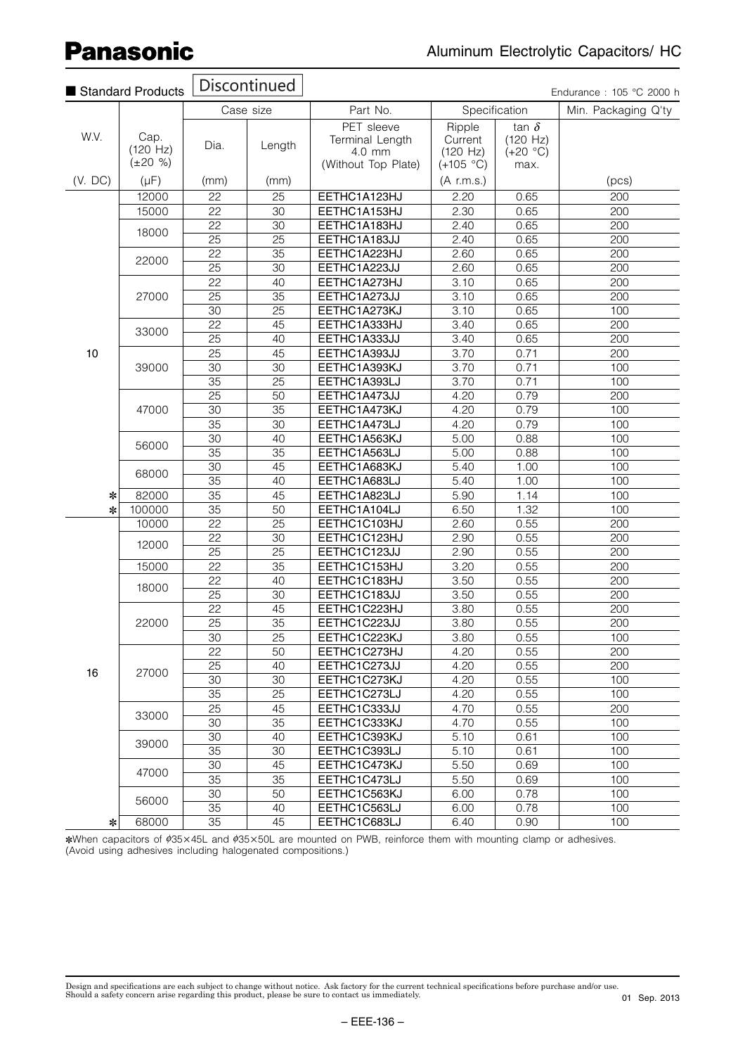|         | Standard Products                 |                       | <b>Discontinued</b>   |                                         |                               |                                        | Endurance: 105 °C 2000 h |
|---------|-----------------------------------|-----------------------|-----------------------|-----------------------------------------|-------------------------------|----------------------------------------|--------------------------|
|         |                                   |                       | Case size             | Part No.                                |                               | Specification                          | Min. Packaging Q'ty      |
| W.V.    | Cap.<br>(120 Hz)<br>$(\pm 20 \%)$ | Dia.                  | Length                | PET sleeve<br>Terminal Length<br>4.0 mm | Ripple<br>Current<br>(120 Hz) | tan $\delta$<br>(120 Hz)<br>$(+20 °C)$ |                          |
| (V. DC) | $(\mu F)$                         | (mm)                  | (mm)                  | (Without Top Plate)                     | $(+105 °C)$<br>(A r.m.s.)     | max.                                   | (pcs)                    |
|         | 12000                             | 22                    | 25                    | EETHC1A123HJ                            | 2.20                          | 0.65                                   | 200                      |
|         | 15000                             | $\overline{22}$       | $\overline{30}$       | EETHC1A153HJ                            | 2.30                          | 0.65                                   | 200                      |
|         |                                   | 22                    | 30                    | EETHC1A183HJ                            | 2.40                          | 0.65                                   | 200                      |
|         | 18000                             | 25                    | $\overline{25}$       | EETHC1A183JJ                            | 2.40                          | 0.65                                   | 200                      |
|         |                                   | 22                    | 35                    | EETHC1A223HJ                            |                               |                                        |                          |
|         | 22000                             | 25                    | 30                    |                                         | 2.60                          | 0.65                                   | 200<br>200               |
|         |                                   |                       |                       | EETHC1A223JJ                            | 2.60                          | 0.65                                   |                          |
|         |                                   | 22                    | 40<br>$\overline{35}$ | EETHC1A273HJ                            | 3.10                          | 0.65                                   | 200                      |
|         | 27000                             | 25<br>$\overline{30}$ |                       | EETHC1A273JJ                            | 3.10                          | 0.65                                   | 200                      |
|         |                                   |                       | $\overline{25}$<br>45 | EETHC1A273KJ                            | 3.10                          | 0.65                                   | 100<br>200               |
|         | 33000                             | 22                    |                       | EETHC1A333HJ                            | 3.40                          | 0.65                                   |                          |
|         |                                   | 25                    | 40                    | EETHC1A333JJ                            | 3.40                          | 0.65                                   | 200                      |
| 10      |                                   | 25                    | 45                    | EETHC1A393JJ                            | 3.70                          | 0.71                                   | 200                      |
|         | 39000                             | 30                    | $\overline{30}$       | EETHC1A393KJ                            | 3.70                          | 0.71                                   | 100                      |
|         |                                   | 35                    | 25                    | EETHC1A393LJ                            | 3.70                          | 0.71                                   | 100                      |
|         | 47000                             | 25                    | 50                    | EETHC1A473JJ                            | 4.20                          | 0.79                                   | 200                      |
|         |                                   | 30                    | $\overline{35}$       | EETHC1A473KJ                            | 4.20                          | 0.79                                   | 100                      |
|         |                                   | $\overline{35}$       | 30                    | EETHC1A473LJ                            | 4.20                          | 0.79                                   | 100                      |
|         | 56000                             | $\overline{30}$       | 40                    | EETHC1A563KJ                            | 5.00                          | 0.88                                   | 100                      |
|         |                                   | 35                    | 35                    | EETHC1A563LJ                            | 5.00                          | 0.88                                   | 100                      |
|         | 68000                             | 30                    | 45                    | EETHC1A683KJ                            | 5.40                          | 1.00                                   | 100                      |
|         |                                   | $\overline{35}$       | 40                    | EETHC1A683LJ                            | 5.40                          | 1.00                                   | 100                      |
| ∗       | 82000                             | 35                    | 45                    | EETHC1A823LJ                            | 5.90                          | 1.14                                   | 100                      |
| ∗       | 100000                            | 35                    | 50                    | EETHC1A104LJ                            | 6.50                          | 1.32                                   | 100                      |
|         | 10000                             | 22                    | 25                    | EETHC1C103HJ                            | 2.60                          | 0.55                                   | 200                      |
|         | 12000                             | 22                    | 30                    | EETHC1C123HJ                            | 2.90                          | 0.55                                   | 200                      |
|         |                                   | $\overline{25}$       | $\overline{25}$       | EETHC1C123JJ                            | 2.90                          | 0.55                                   | 200                      |
|         | 15000                             | 22                    | 35                    | EETHC1C153HJ                            | 3.20                          | 0.55                                   | 200                      |
|         | 18000                             | 22                    | 40                    | EETHC1C183HJ                            | 3.50                          | 0.55                                   | 200                      |
|         |                                   | 25                    | 30                    | EETHC1C183JJ                            | 3.50                          | 0.55                                   | 200                      |
|         |                                   | 22                    | 45                    | EETHC1C223HJ                            | 3.80                          | 0.55                                   | 200                      |
|         | 22000                             | 25                    | 35                    | EETHC1C223JJ                            | 3.80                          | 0.55                                   | 200                      |
|         |                                   | $\overline{30}$       | 25                    | EETHC1C223KJ                            | 3.80                          | 0.55                                   | 100                      |
|         |                                   | 22                    | 50                    | EETHC1C273HJ                            | 4.20                          | 0.55                                   | 200                      |
| 16      | 27000                             | 25                    | 40                    | EETHC1C273JJ                            | 4.20                          | 0.55                                   | 200                      |
|         |                                   | 30                    | 30                    | EETHC1C273KJ                            | 4.20                          | 0.55                                   | 100                      |
|         |                                   | 35                    | 25                    | EETHC1C273LJ                            | 4.20                          | 0.55                                   | 100                      |
|         | 33000                             | 25                    | 45                    | EETHC1C333JJ                            | 4.70                          | 0.55                                   | 200                      |
|         |                                   | 30                    | 35                    | EETHC1C333KJ                            | 4.70                          | 0.55                                   | 100                      |
|         |                                   | 30                    | 40                    | EETHC1C393KJ                            | 5.10                          | 0.61                                   | 100                      |
|         | 39000                             | 35                    | 30                    | EETHC1C393LJ                            | 5.10                          | 0.61                                   | 100                      |
|         |                                   | 30                    | 45                    | EETHC1C473KJ                            | 5.50                          | 0.69                                   | 100                      |
|         | 47000                             | 35                    | 35                    | EETHC1C473LJ                            | 5.50                          | 0.69                                   | 100                      |
|         |                                   | 30                    | 50                    | EETHC1C563KJ                            | 6.00                          | 0.78                                   | 100                      |
|         | 56000                             | 35                    | 40                    | EETHC1C563LJ                            | 6.00                          | 0.78                                   | 100                      |
| $\ast$  | 68000                             | 35                    | 45                    | EETHC1C683LJ                            | 6.40                          | 0.90                                   | 100                      |

\*When capacitors of ¢35×45L and ¢35×50L are mounted on PWB, reinforce them with mounting clamp or adhesives. (Avoid using adhesives including halogenated compositions.)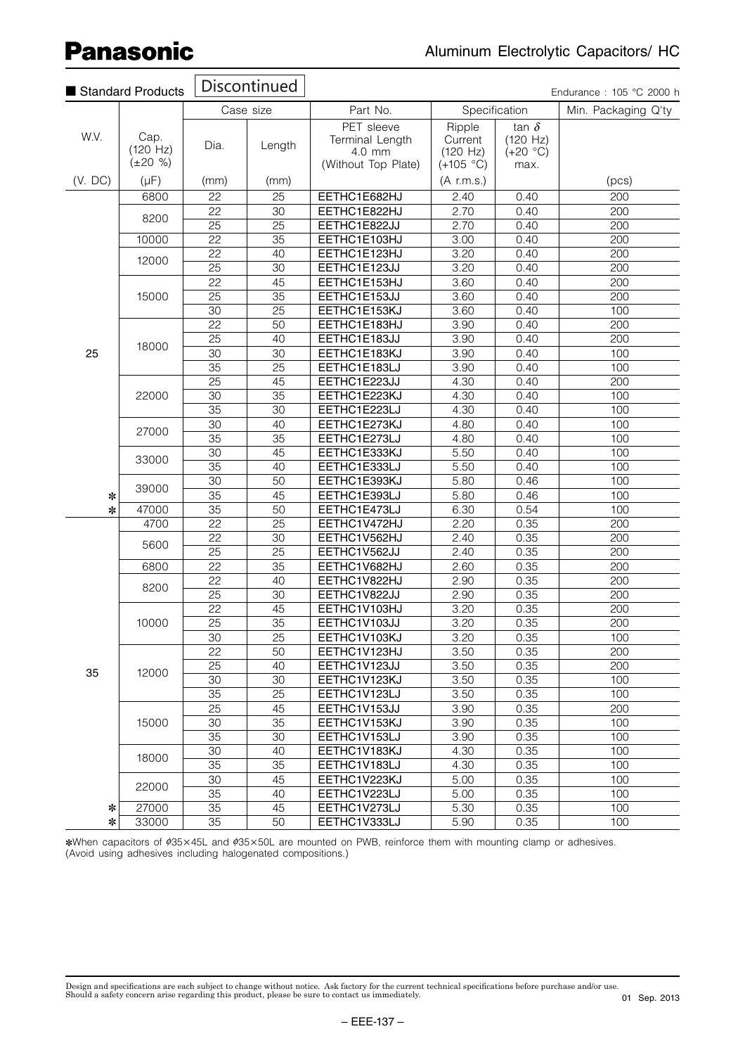|             | Standard Products                 |                 | <b>Discontinued</b> |                                                                |                                              |                                                | Endurance: 105 °C 2000 h |
|-------------|-----------------------------------|-----------------|---------------------|----------------------------------------------------------------|----------------------------------------------|------------------------------------------------|--------------------------|
|             |                                   |                 | Case size           | Part No.                                                       | Specification                                |                                                | Min. Packaging Q'ty      |
| W.V.        | Cap.<br>(120 Hz)<br>$(\pm 20 \%)$ | Dia.            | Length              | PET sleeve<br>Terminal Length<br>4.0 mm<br>(Without Top Plate) | Ripple<br>Current<br>(120 Hz)<br>$(+105 °C)$ | tan $\delta$<br>(120 Hz)<br>$(+20 °C)$<br>max. |                          |
| (V. DC)     | $(\mu F)$                         | (mm)            | (mm)                |                                                                | $(A$ r.m.s.)                                 |                                                | (pcs)                    |
|             | 6800                              | 22              | $\overline{25}$     | EETHC1E682HJ                                                   | 2.40                                         | 0.40                                           | $\overline{200}$         |
|             |                                   | 22              | 30                  | EETHC1E822HJ                                                   | 2.70                                         | 0.40                                           | 200                      |
|             | 8200                              | 25              | 25                  | EETHC1E822JJ                                                   | 2.70                                         | 0.40                                           | 200                      |
|             | 10000                             | 22              | $\overline{35}$     | EETHC1E103HJ                                                   | 3.00                                         | 0.40                                           | 200                      |
|             |                                   | 22              | 40                  | EETHC1E123HJ                                                   | 3.20                                         | 0.40                                           | 200                      |
|             | 12000                             | $\overline{25}$ | 30                  | EETHC1E123JJ                                                   | 3.20                                         | 0.40                                           | 200                      |
|             |                                   | 22              | 45                  | EETHC1E153HJ                                                   | 3.60                                         | 0.40                                           | 200                      |
|             | 15000                             | 25              | $\overline{35}$     | EETHC1E153JJ                                                   | 3.60                                         | 0.40                                           | 200                      |
|             |                                   | 30              | $\overline{25}$     | EETHC1E153KJ                                                   | 3.60                                         | 0.40                                           | 100                      |
|             |                                   | $\overline{22}$ | $\overline{50}$     | EETHC1E183HJ                                                   | 3.90                                         | 0.40                                           | 200                      |
|             |                                   | 25              | 40                  | EETHC1E183JJ                                                   | 3.90                                         | 0.40                                           | 200                      |
| 25          | 18000                             | 30              | 30                  | EETHC1E183KJ                                                   | 3.90                                         | 0.40                                           | 100                      |
|             |                                   | 35              | 25                  | EETHC1E183LJ                                                   | 3.90                                         | 0.40                                           | 100                      |
|             |                                   | 25              | 45                  | EETHC1E223JJ                                                   | 4.30                                         | 0.40                                           | 200                      |
|             | 22000                             | 30              | 35                  | EETHC1E223KJ                                                   | 4.30                                         | 0.40                                           | 100                      |
|             |                                   | $\overline{35}$ | $\overline{30}$     | EETHC1E223LJ                                                   | 4.30                                         | 0.40                                           | 100                      |
|             |                                   | 30              | 40                  | EETHC1E273KJ                                                   | 4.80                                         | 0.40                                           | 100                      |
|             | 27000                             | $\overline{35}$ | $\overline{35}$     | EETHC1E273LJ                                                   | 4.80                                         | 0.40                                           | 100                      |
|             |                                   | 30              | 45                  | EETHC1E333KJ                                                   | 5.50                                         | 0.40                                           | 100                      |
|             | 33000                             | 35              | 40                  | EETHC1E333LJ                                                   | 5.50                                         | 0.40                                           | 100                      |
|             |                                   | 30              | 50                  | EETHC1E393KJ                                                   | 5.80                                         | 0.46                                           | 100                      |
| $\ast$      | 39000                             | 35              | 45                  | EETHC1E393LJ                                                   | 5.80                                         | 0.46                                           | 100                      |
| ∗           | 47000                             | 35              | 50                  | EETHC1E473LJ                                                   | 6.30                                         | 0.54                                           | 100                      |
|             | 4700                              | 22              | $\overline{25}$     | EETHC1V472HJ                                                   | 2.20                                         | 0.35                                           | 200                      |
|             |                                   | 22              | $\overline{30}$     | EETHC1V562HJ                                                   | 2.40                                         | 0.35                                           | 200                      |
|             | 5600                              | 25              | 25                  | EETHC1V562JJ                                                   | 2.40                                         | 0.35                                           | 200                      |
|             | 6800                              | 22              | $\overline{35}$     | EETHC1V682HJ                                                   | 2.60                                         | 0.35                                           | 200                      |
|             |                                   | 22              | 40                  | EETHC1V822HJ                                                   | 2.90                                         | 0.35                                           | 200                      |
|             | 8200                              | 25              | 30                  | EETHC1V822JJ                                                   | 2.90                                         | 0.35                                           | 200                      |
|             |                                   | 22              | 45                  | EETHC1V103HJ                                                   | 3.20                                         | 0.35                                           | 200                      |
|             | 10000                             | 25              | 35                  | EETHC1V103JJ                                                   | 3.20                                         | 0.35                                           | 200                      |
|             |                                   | 30              | 25                  | EETHC1V103KJ                                                   | 3.20                                         | 0.35                                           | 100                      |
|             |                                   | 22              | 50                  | EETHC1V123HJ                                                   | 3.50                                         | 0.35                                           | 200                      |
|             |                                   | 25              | 40                  | EETHC1V123JJ                                                   | 3.50                                         | 0.35                                           | 200                      |
| 35          | 12000                             | 30              | 30                  | EETHC1V123KJ                                                   | 3.50                                         | 0.35                                           | 100                      |
|             |                                   | 35              | 25                  | EETHC1V123LJ                                                   | 3.50                                         | 0.35                                           | 100                      |
|             |                                   | 25              | 45                  | EETHC1V153JJ                                                   | 3.90                                         | 0.35                                           | 200                      |
|             | 15000                             | 30              | 35                  | EETHC1V153KJ                                                   | 3.90                                         | 0.35                                           | 100                      |
|             |                                   | 35              | 30                  | EETHC1V153LJ                                                   | 3.90                                         |                                                | 100                      |
|             |                                   |                 |                     | EETHC1V183KJ                                                   |                                              | 0.35                                           |                          |
|             | 18000                             | 30<br>35        | 40<br>35            |                                                                | 4.30                                         | 0.35                                           | 100                      |
|             |                                   | 30              | 45                  | EETHC1V183LJ<br>EETHC1V223KJ                                   | 4.30<br>5.00                                 | 0.35<br>0.35                                   | 100<br>100               |
|             | 22000                             |                 |                     |                                                                |                                              |                                                |                          |
|             |                                   | 35              | 40                  | EETHC1V223LJ                                                   | 5.00                                         | 0.35                                           | 100<br>100               |
| ∗<br>$\ast$ | 27000<br>33000                    | 35<br>35        | 45<br>50            | EETHC1V273LJ<br>EETHC1V333LJ                                   | 5.30<br>5.90                                 | 0.35<br>0.35                                   | 100                      |
|             |                                   |                 |                     |                                                                |                                              |                                                |                          |

\*When capacitors of  $\phi$ 35×45L and  $\phi$ 35×50L are mounted on PWB, reinforce them with mounting clamp or adhesives. (Avoid using adhesives including halogenated compositions.)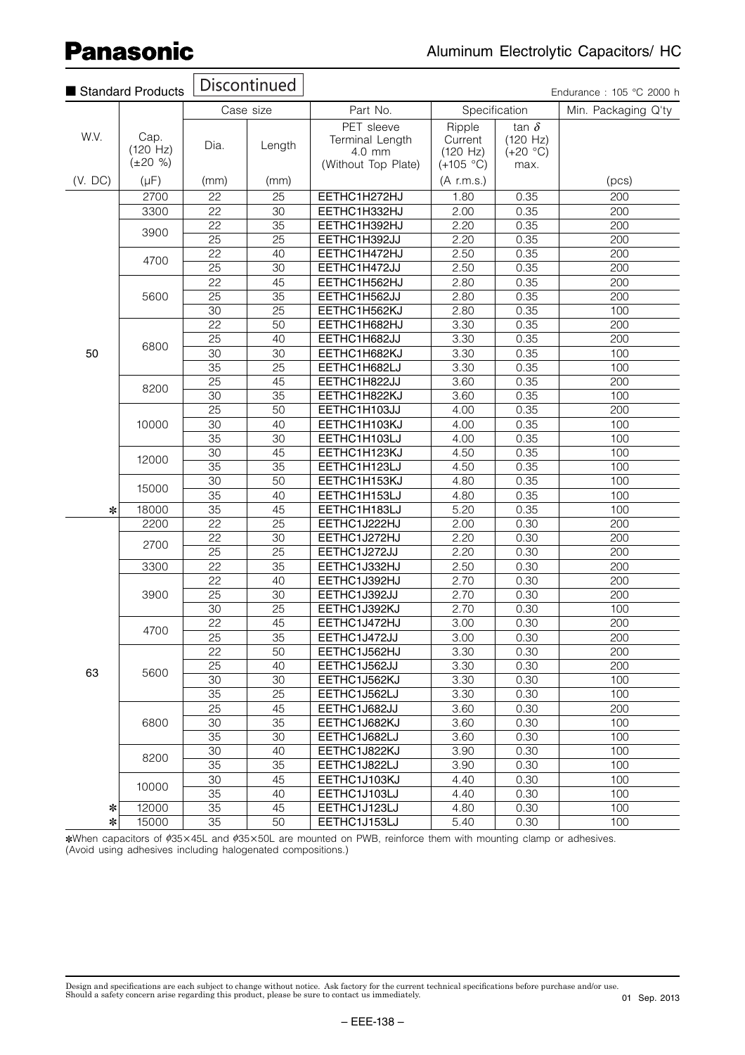|         | Standard Products                 |                 | Discontinued    |                                                                |                                              |                                                | Endurance: 105 °C 2000 h |
|---------|-----------------------------------|-----------------|-----------------|----------------------------------------------------------------|----------------------------------------------|------------------------------------------------|--------------------------|
|         |                                   |                 | Case size       | Part No.                                                       |                                              | Specification                                  | Min. Packaging Q'ty      |
| W.V.    | Cap.<br>(120 Hz)<br>$(\pm 20 \%)$ | Dia.            | Length          | PET sleeve<br>Terminal Length<br>4.0 mm<br>(Without Top Plate) | Ripple<br>Current<br>(120 Hz)<br>$(+105 °C)$ | tan $\delta$<br>(120 Hz)<br>$(+20 °C)$<br>max. |                          |
| (V. DC) | $(\mu F)$                         | (mm)            | (mm)            |                                                                | (A r.m.s.)                                   |                                                | (pcs)                    |
|         | 2700                              | 22              | 25              | EETHC1H272HJ                                                   | 1.80                                         | 0.35                                           | $\overline{200}$         |
|         | 3300                              | 22              | $\overline{30}$ | EETHC1H332HJ                                                   | 2.00                                         | 0.35                                           | 200                      |
|         |                                   | 22              | 35              | EETHC1H392HJ                                                   | 2.20                                         | 0.35                                           | 200                      |
|         | 3900                              | 25              | 25              | EETHC1H392JJ                                                   | 2.20                                         | 0.35                                           | 200                      |
|         |                                   | 22              | 40              | EETHC1H472HJ                                                   | 2.50                                         | 0.35                                           | 200                      |
|         | 4700                              | 25              | 30              | EETHC1H472JJ                                                   | 2.50                                         | 0.35                                           | 200                      |
|         |                                   | 22              | 45              | EETHC1H562HJ                                                   | 2.80                                         | 0.35                                           | 200                      |
|         | 5600                              | 25              | $\overline{35}$ | EETHC1H562JJ                                                   | 2.80                                         | 0.35                                           | 200                      |
|         |                                   | 30              | $\overline{25}$ | EETHC1H562KJ                                                   | 2.80                                         | 0.35                                           | 100                      |
|         |                                   | $\overline{22}$ | $\overline{50}$ | EETHC1H682HJ                                                   | 3.30                                         | 0.35                                           | 200                      |
|         |                                   | 25              | 40              | EETHC1H682JJ                                                   | 3.30                                         | 0.35                                           | 200                      |
| 50      | 6800                              | 30              | $\overline{30}$ | EETHC1H682KJ                                                   | 3.30                                         | 0.35                                           | 100                      |
|         |                                   | 35              | 25              | EETHC1H682LJ                                                   | 3.30                                         | 0.35                                           | 100                      |
|         |                                   | 25              | 45              | EETHC1H822JJ                                                   | 3.60                                         | 0.35                                           | 200                      |
|         | 8200                              | 30              | 35              | EETHC1H822KJ                                                   | 3.60                                         | 0.35                                           | 100                      |
|         |                                   | 25              | 50              | EETHC1H103JJ                                                   | 4.00                                         | 0.35                                           | 200                      |
|         | 10000                             | 30              | 40              | EETHC1H103KJ                                                   | 4.00                                         | 0.35                                           | 100                      |
|         |                                   | $\overline{35}$ | $\overline{30}$ | EETHC1H103LJ                                                   | 4.00                                         | 0.35                                           | 100                      |
|         |                                   | 30              | 45              | EETHC1H123KJ                                                   | 4.50                                         | 0.35                                           | 100                      |
|         | 12000                             | 35              | $\overline{35}$ | EETHC1H123LJ                                                   | 4.50                                         | 0.35                                           | 100                      |
|         |                                   | 30              | 50              | EETHC1H153KJ                                                   | 4.80                                         | 0.35                                           | 100                      |
|         | 15000                             | 35              | 40              | EETHC1H153LJ                                                   | 4.80                                         | 0.35                                           | 100                      |
| $\ast$  | 18000                             | 35              | 45              | EETHC1H183LJ                                                   | 5.20                                         | 0.35                                           | 100                      |
|         | 2200                              | 22              | 25              | EETHC1J222HJ                                                   | 2.00                                         | 0.30                                           | 200                      |
|         |                                   | 22              | 30              | EETHC1J272HJ                                                   | 2.20                                         | 0.30                                           | 200                      |
|         | 2700                              | $\overline{25}$ | $\overline{25}$ | EETHC1J272JJ                                                   | 2.20                                         | 0.30                                           | 200                      |
|         | 3300                              | 22              | 35              | EETHC1J332HJ                                                   | 2.50                                         | 0.30                                           | 200                      |
|         |                                   | 22              | 40              | EETHC1J392HJ                                                   | 2.70                                         | 0.30                                           | 200                      |
|         | 3900                              | 25              | 30              | EETHC1J392JJ                                                   | 2.70                                         | 0.30                                           | 200                      |
|         |                                   | 30              | 25              | EETHC1J392KJ                                                   | 2.70                                         | 0.30                                           | 100                      |
|         | 4700                              | 22              | 45              | EETHC1J472HJ                                                   | 3.00                                         | 0.30                                           | 200                      |
|         |                                   | 25              | $\overline{35}$ | EETHC1J472JJ                                                   | 3.00                                         | 0.30                                           | 200                      |
|         |                                   | 22              | 50              | EETHC1J562HJ                                                   | 3.30                                         | 0.30                                           | 200                      |
| 63      | 5600                              | 25              | 40              | EETHC1J562JJ                                                   | 3.30                                         | 0.30                                           | 200                      |
|         |                                   | 30              | 30              | EETHC1J562KJ                                                   | 3.30                                         | 0.30                                           | 100                      |
|         |                                   | 35              | 25              | EETHC1J562LJ                                                   | 3.30                                         | 0.30                                           | 100                      |
|         |                                   | 25              | 45              | EETHC1J682JJ                                                   | 3.60                                         | 0.30                                           | 200                      |
|         | 6800                              | 30              | 35              | EETHC1J682KJ                                                   | 3.60                                         | 0.30                                           | 100                      |
|         |                                   | 35              | 30              | EETHC1J682LJ                                                   | 3.60                                         | 0.30                                           | 100                      |
|         | 8200                              | 30              | 40              | EETHC1J822KJ                                                   | 3.90                                         | 0.30                                           | 100                      |
|         |                                   | 35              | 35              | EETHC1J822LJ                                                   | 3.90                                         | 0.30                                           | 100                      |
|         | 10000                             | 30              | 45              | EETHC1J103KJ                                                   | 4.40                                         | 0.30                                           | 100                      |
|         |                                   | 35              | 40              | EETHC1J103LJ                                                   | 4.40                                         | 0.30                                           | 100                      |
| $\ast$  | 12000                             | 35              | 45              | EETHC1J123LJ                                                   | 4.80                                         | 0.30                                           | 100                      |
| $\ast$  | 15000                             | 35              | 50              | EETHC1J153LJ                                                   | 5.40                                         | 0.30                                           | 100                      |

\*When capacitors of  $\phi$ 35×45L and  $\phi$ 35×50L are mounted on PWB, reinforce them with mounting clamp or adhesives. (Avoid using adhesives including halogenated compositions.)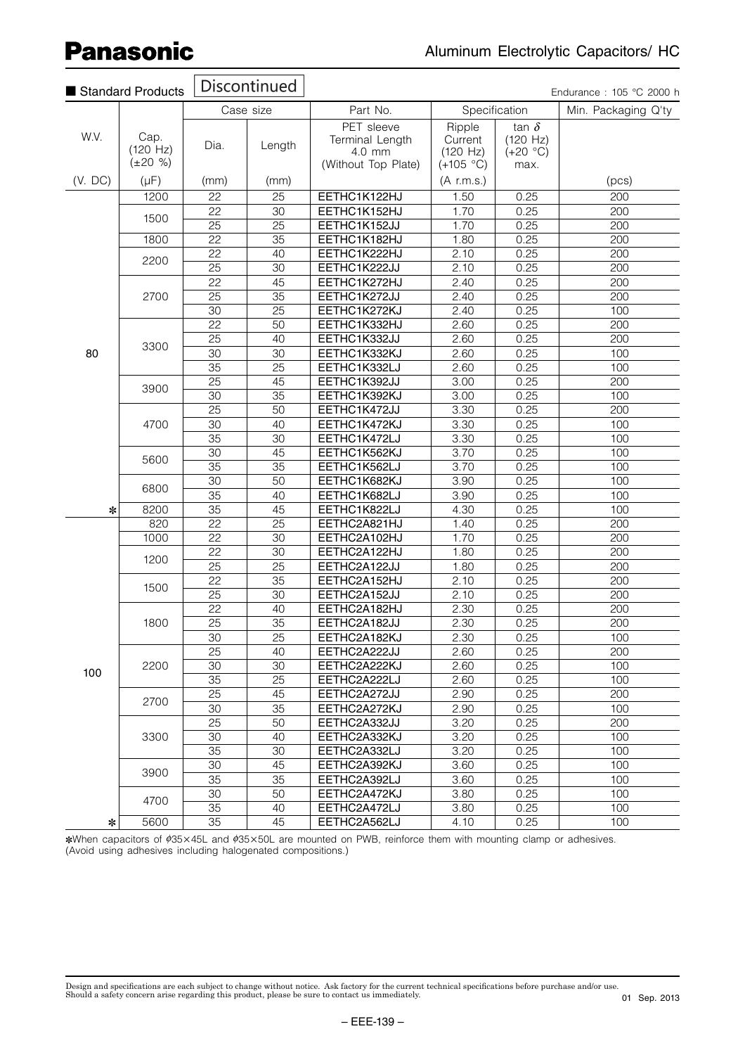|         | Standard Products                 |                 | Discontinued    |                                                                |                                              |                                                | Endurance: 105 °C 2000 h |
|---------|-----------------------------------|-----------------|-----------------|----------------------------------------------------------------|----------------------------------------------|------------------------------------------------|--------------------------|
|         |                                   |                 | Case size       | Part No.                                                       |                                              | Specification                                  | Min. Packaging Q'ty      |
| W.V.    | Cap.<br>(120 Hz)<br>$(\pm 20 \%)$ | Dia.            | Length          | PET sleeve<br>Terminal Length<br>4.0 mm<br>(Without Top Plate) | Ripple<br>Current<br>(120 Hz)<br>$(+105 °C)$ | tan $\delta$<br>(120 Hz)<br>$(+20 °C)$<br>max. |                          |
| (V. DC) | $(\mu F)$                         | (mm)            | (mm)            |                                                                | $(A$ r.m.s.)                                 |                                                | (pcs)                    |
|         | 1200                              | 22              | 25              | EETHC1K122HJ                                                   | 1.50                                         | 0.25                                           | 200                      |
|         |                                   | 22              | 30              | EETHC1K152HJ                                                   | 1.70                                         | 0.25                                           | 200                      |
|         | 1500                              | 25              | 25              | EETHC1K152JJ                                                   | 1.70                                         | 0.25                                           | 200                      |
|         | 1800                              | 22              | $\overline{35}$ | EETHC1K182HJ                                                   | 1.80                                         | 0.25                                           | 200                      |
|         | 2200                              | 22              | 40              | EETHC1K222HJ                                                   | 2.10                                         | 0.25                                           | 200                      |
|         |                                   | $\overline{25}$ | $\overline{30}$ | EETHC1K222JJ                                                   | 2.10                                         | 0.25                                           | 200                      |
|         |                                   | 22              | 45              | EETHC1K272HJ                                                   | 2.40                                         | 0.25                                           | 200                      |
|         | 2700                              | 25              | $\overline{35}$ | EETHC1K272JJ                                                   | 2.40                                         | 0.25                                           | 200                      |
|         |                                   | 30              | $\overline{25}$ | EETHC1K272KJ                                                   | 2.40                                         | 0.25                                           | 100                      |
|         |                                   | 22              | 50              | EETHC1K332HJ                                                   | 2.60                                         | 0.25                                           | 200                      |
|         | 3300                              | 25              | 40              | EETHC1K332JJ                                                   | 2.60                                         | 0.25                                           | 200                      |
| 80      |                                   | 30              | $\overline{30}$ | EETHC1K332KJ                                                   | 2.60                                         | 0.25                                           | 100                      |
|         |                                   | 35              | 25              | EETHC1K332LJ                                                   | 2.60                                         | 0.25                                           | 100                      |
|         | 3900                              | $\overline{25}$ | 45              | EETHC1K392JJ                                                   | 3.00                                         | 0.25                                           | 200                      |
|         |                                   | 30              | 35              | EETHC1K392KJ                                                   | 3.00                                         | 0.25                                           | 100                      |
|         |                                   | 25              | 50              | EETHC1K472JJ                                                   | 3.30                                         | 0.25                                           | 200                      |
|         | 4700                              | 30              | 40              | EETHC1K472KJ                                                   | 3.30                                         | 0.25                                           | 100                      |
|         |                                   | 35              | 30              | EETHC1K472LJ                                                   | 3.30                                         | 0.25                                           | 100                      |
|         | 5600                              | 30              | 45              | EETHC1K562KJ                                                   | 3.70                                         | 0.25                                           | 100                      |
|         |                                   | 35              | $\overline{35}$ | EETHC1K562LJ                                                   | 3.70                                         | 0.25                                           | 100                      |
|         | 6800                              | 30              | 50              | EETHC1K682KJ                                                   | 3.90                                         | 0.25                                           | 100                      |
|         |                                   | $\overline{35}$ | 40              | EETHC1K682LJ                                                   | 3.90                                         | 0.25                                           | 100                      |
| ∗       | 8200                              | 35              | 45              | EETHC1K822LJ                                                   | 4.30                                         | 0.25                                           | 100                      |
|         | 820                               | 22              | 25              | EETHC2A821HJ                                                   | 1.40                                         | 0.25                                           | 200                      |
|         | 1000                              | 22              | $\overline{30}$ | EETHC2A102HJ                                                   | 1.70                                         | 0.25                                           | 200                      |
|         | 1200                              | 22              | $\overline{30}$ | EETHC2A122HJ                                                   | 1.80                                         | 0.25                                           | 200                      |
|         |                                   | 25              | 25              | EETHC2A122JJ                                                   | 1.80                                         | 0.25                                           | 200                      |
|         | 1500                              | 22              | $\overline{35}$ | EETHC2A152HJ                                                   | 2.10                                         | 0.25                                           | 200                      |
|         |                                   | $\overline{25}$ | $\overline{30}$ | EETHC2A152JJ                                                   | 2.10                                         | 0.25                                           | 200                      |
|         |                                   | 22              | 40              | EETHC2A182HJ                                                   | 2.30                                         | 0.25                                           | 200                      |
|         | 1800                              | 25              | 35              | EETHC2A182JJ                                                   | 2.30                                         | 0.25                                           | 200                      |
|         |                                   | 30              | 25              | EETHC2A182KJ                                                   | 2.30                                         | 0.25                                           | 100                      |
|         |                                   | 25              | 40              | EETHC2A222JJ                                                   | 2.60                                         | 0.25                                           | 200                      |
| 100     | 2200                              | 30              | 30              | EETHC2A222KJ                                                   | 2.60                                         | 0.25                                           | 100                      |
|         |                                   | 35              | 25              | EETHC2A222LJ                                                   | 2.60                                         | 0.25                                           | 100                      |
|         | 2700                              | 25              | 45              | EETHC2A272JJ                                                   | 2.90                                         | 0.25                                           | 200                      |
|         |                                   | 30              | $\overline{35}$ | EETHC2A272KJ                                                   | 2.90                                         | 0.25                                           | 100                      |
|         |                                   | 25              | 50              | EETHC2A332JJ                                                   | 3.20                                         | 0.25                                           | 200                      |
|         | 3300                              | 30              | 40              | EETHC2A332KJ                                                   | 3.20                                         | 0.25                                           | 100                      |
|         |                                   | 35              | 30              | EETHC2A332LJ                                                   | 3.20                                         | 0.25                                           | 100                      |
|         | 3900                              | 30<br>35        | 45<br>35        | EETHC2A392KJ                                                   | 3.60                                         | 0.25                                           | 100                      |
|         |                                   | 30              | 50              | EETHC2A392LJ<br>EETHC2A472KJ                                   | 3.60                                         | 0.25<br>0.25                                   | 100<br>100               |
|         | 4700                              | 35              | 40              | EETHC2A472LJ                                                   | 3.80<br>3.80                                 | 0.25                                           | 100                      |
| $\ast$  | 5600                              | 35              | 45              | EETHC2A562LJ                                                   | 4.10                                         | 0.25                                           | 100                      |
|         |                                   |                 |                 |                                                                |                                              |                                                |                          |

\*When capacitors of ¢35×45L and ¢35×50L are mounted on PWB, reinforce them with mounting clamp or adhesives. (Avoid using adhesives including halogenated compositions.)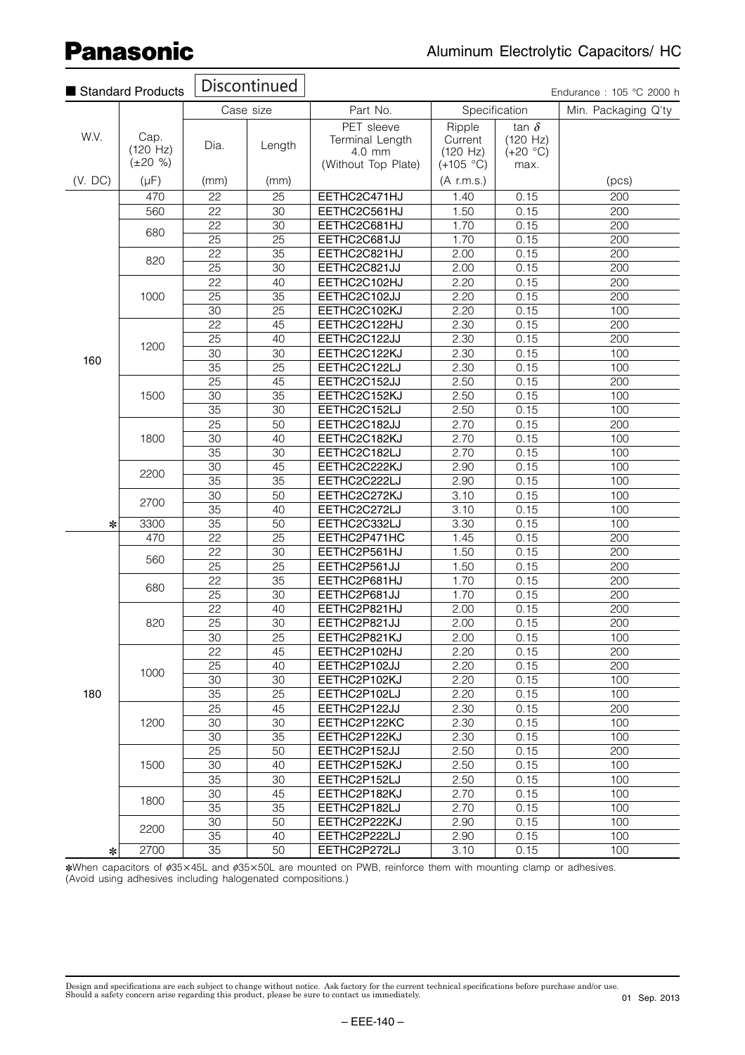|         | Standard Products                 |                 | <b>Discontinued</b>   |                                                                |                                              |                                                | Endurance: 105 °C 2000 h |
|---------|-----------------------------------|-----------------|-----------------------|----------------------------------------------------------------|----------------------------------------------|------------------------------------------------|--------------------------|
|         |                                   |                 | Case size             | Part No.                                                       |                                              | Specification                                  | Min. Packaging Q'ty      |
| W.V.    | Cap.<br>(120 Hz)<br>$(\pm 20 \%)$ | Dia.            | Length                | PET sleeve<br>Terminal Length<br>4.0 mm<br>(Without Top Plate) | Ripple<br>Current<br>(120 Hz)<br>$(+105 °C)$ | tan $\delta$<br>(120 Hz)<br>$(+20 °C)$<br>max. |                          |
| (V. DC) | $(\mu F)$                         | (mm)            | (mm)                  |                                                                | (A r.m.s.)                                   |                                                | (pcs)                    |
|         | 470                               | 22              | 25                    | EETHC2C471HJ                                                   | 1.40                                         | 0.15                                           | 200                      |
|         | 560                               | $\overline{22}$ | $\overline{30}$       | EETHC2C561HJ                                                   | 1.50                                         | 0.15                                           | 200                      |
|         | 680                               | 22              | 30                    | EETHC2C681HJ                                                   | 1.70                                         | 0.15                                           | 200                      |
|         |                                   | 25              | $\overline{25}$       | EETHC2C681JJ                                                   | 1.70                                         | 0.15                                           | 200                      |
|         | 820                               | 22              | 35                    | EETHC2C821HJ                                                   | 2.00                                         | 0.15                                           | 200                      |
|         |                                   | 25              | 30                    | EETHC2C821JJ                                                   | 2.00                                         | 0.15                                           | 200                      |
|         |                                   | 22              | 40                    | EETHC2C102HJ                                                   | 2.20                                         | 0.15                                           | 200                      |
|         | 1000                              | 25              | $\overline{35}$       | EETHC2C102JJ                                                   | 2.20                                         | 0.15                                           | 200                      |
|         |                                   | $\overline{30}$ | $\overline{25}$       | EETHC2C102KJ                                                   | 2.20                                         | 0.15                                           | 100                      |
|         |                                   | $\overline{22}$ | 45                    | EETHC2C122HJ                                                   | 2.30                                         | 0.15                                           | 200                      |
|         | 1200                              | 25              | 40                    | EETHC2C122JJ                                                   | 2.30                                         | 0.15                                           | 200                      |
| 160     |                                   | 30              | 30                    | EETHC2C122KJ                                                   | 2.30                                         | 0.15                                           | 100                      |
|         |                                   | 35              | $\overline{25}$       | EETHC2C122LJ                                                   | 2.30                                         | 0.15                                           | 100                      |
|         |                                   | 25              | 45                    | EETHC2C152JJ                                                   | 2.50                                         | 0.15                                           | 200                      |
|         | 1500                              | 30              | 35                    | EETHC2C152KJ                                                   | 2.50                                         | 0.15                                           | 100                      |
|         |                                   | $\overline{35}$ | 30                    | EETHC2C152LJ                                                   | 2.50                                         | 0.15                                           | 100                      |
|         |                                   | 25              | $\overline{50}$       | EETHC2C182JJ                                                   | 2.70                                         | 0.15                                           | 200                      |
|         | 1800                              | $\overline{30}$ | 40                    | EETHC2C182KJ                                                   | 2.70                                         | 0.15                                           | 100                      |
|         |                                   | 35              | 30                    | EETHC2C182LJ                                                   | 2.70                                         | 0.15                                           | 100                      |
|         | 2200                              | 30              | 45                    | EETHC2C222KJ                                                   | 2.90                                         | 0.15                                           | 100                      |
|         |                                   | $\overline{35}$ | $\overline{35}$       | EETHC2C222LJ                                                   | 2.90                                         | 0.15                                           | 100                      |
|         | 2700                              | 30              | 50                    | EETHC2C272KJ                                                   | 3.10                                         | 0.15                                           | 100                      |
|         |                                   | 35              | 40                    | EETHC2C272LJ                                                   | 3.10                                         | 0.15                                           | 100                      |
| ∗       | 3300                              | 35              | 50<br>$\overline{25}$ | EETHC2C332LJ                                                   | 3.30                                         | 0.15                                           | 100                      |
|         | 470                               | 22<br>22        | 30                    | EETHC2P471HC<br>EETHC2P561HJ                                   | 1.45<br>1.50                                 | 0.15<br>0.15                                   | 200<br>200               |
|         | 560                               | 25              | 25                    |                                                                |                                              |                                                | 200                      |
|         |                                   | 22              | $\overline{35}$       | EETHC2P561JJ<br>EETHC2P681HJ                                   | 1.50<br>1.70                                 | 0.15<br>0.15                                   | 200                      |
|         | 680                               | 25              | $\overline{30}$       | EETHC2P681JJ                                                   | 1.70                                         | 0.15                                           | 200                      |
|         |                                   | 22              | 40                    | EETHC2P821HJ                                                   | 2.00                                         | 0.15                                           | 200                      |
|         | 820                               | 25              | 30                    | EETHC2P821JJ                                                   | 2.00                                         | 0.15                                           | 200                      |
|         |                                   | $\overline{30}$ | 25                    | EETHC2P821KJ                                                   | 2.00                                         | 0.15                                           | 100                      |
|         |                                   | 22              | 45                    | EETHC2P102HJ                                                   | 2.20                                         | 0.15                                           | 200                      |
|         |                                   | 25              | 40                    | EETHC2P102JJ                                                   | 2.20                                         | 0.15                                           | 200                      |
|         | 1000                              | 30              | 30                    | EETHC2P102KJ                                                   | 2.20                                         | 0.15                                           | 100                      |
| 180     |                                   | 35              | 25                    | EETHC2P102LJ                                                   | 2.20                                         | 0.15                                           | 100                      |
|         |                                   | 25              | 45                    | EETHC2P122JJ                                                   | 2.30                                         | 0.15                                           | 200                      |
|         | 1200                              | 30              | 30                    | EETHC2P122KC                                                   | 2.30                                         | 0.15                                           | 100                      |
|         |                                   | 30              | 35                    | EETHC2P122KJ                                                   | 2.30                                         | 0.15                                           | 100                      |
|         |                                   | 25              | 50                    | EETHC2P152JJ                                                   | 2.50                                         | 0.15                                           | 200                      |
|         | 1500                              | 30              | 40                    | EETHC2P152KJ                                                   | 2.50                                         | 0.15                                           | 100                      |
|         |                                   | 35              | 30                    | EETHC2P152LJ                                                   | 2.50                                         | 0.15                                           | 100                      |
|         |                                   | 30              | 45                    | EETHC2P182KJ                                                   | 2.70                                         | 0.15                                           | 100                      |
|         | 1800                              | 35              | 35                    | EETHC2P182LJ                                                   | 2.70                                         | 0.15                                           | 100                      |
|         |                                   | 30              | 50                    | EETHC2P222KJ                                                   | 2.90                                         | 0.15                                           | 100                      |
|         | 2200                              | 35              | 40                    | EETHC2P222LJ                                                   | 2.90                                         | 0.15                                           | 100                      |
| $\ast$  | 2700                              | 35              | 50                    | EETHC2P272LJ                                                   | 3.10                                         | 0.15                                           | 100                      |

∗When capacitors of ¢35×45L and ¢35×50L are mounted on PWB, reinforce them with mounting clamp or adhesives. (Avoid using adhesives including halogenated compositions.)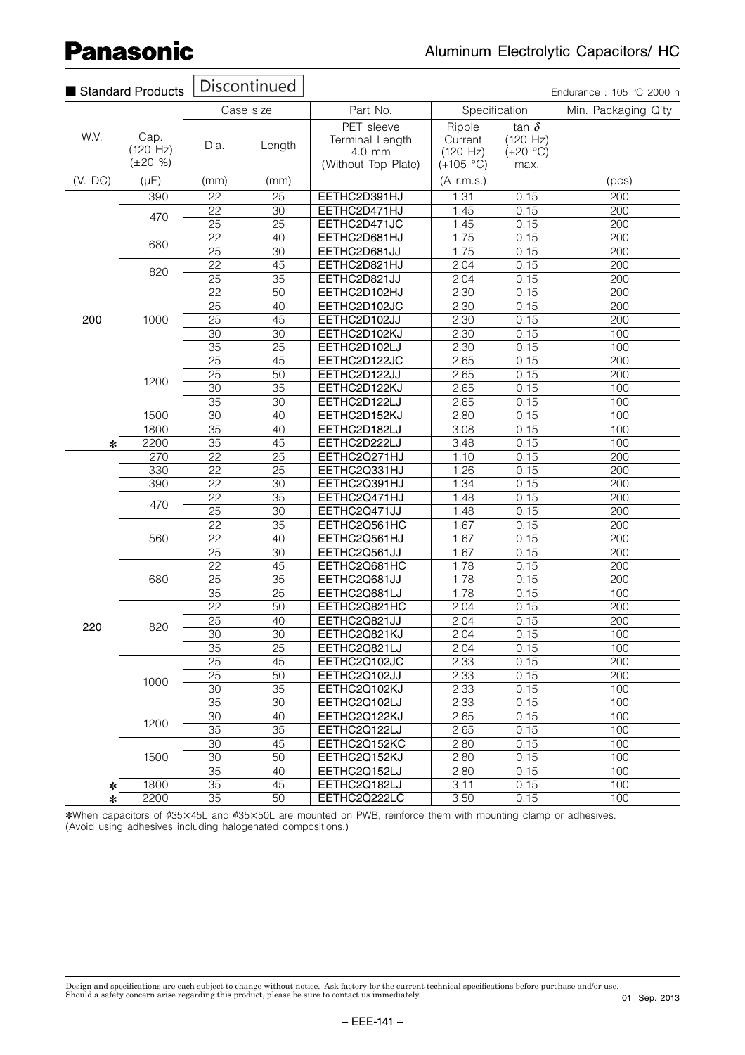|         | Standard Products                 |                 | <b>Discontinued</b> |                                                                |                                              |                                                | Endurance: 105 °C 2000 h |
|---------|-----------------------------------|-----------------|---------------------|----------------------------------------------------------------|----------------------------------------------|------------------------------------------------|--------------------------|
|         |                                   |                 | Case size           | Part No.                                                       | Specification                                |                                                | Min. Packaging Q'ty      |
| W.V.    | Cap.<br>(120 Hz)<br>$(\pm 20 \%)$ | Dia.            | Length              | PET sleeve<br>Terminal Length<br>4.0 mm<br>(Without Top Plate) | Ripple<br>Current<br>(120 Hz)<br>$(+105 °C)$ | tan $\delta$<br>(120 Hz)<br>$(+20 °C)$<br>max. |                          |
| (V. DC) | $(\mu F)$                         | (mm)            | (mm)                |                                                                | $(A$ r.m.s.)                                 |                                                | (pcs)                    |
|         | 390                               | 22              | $\overline{25}$     | EETHC2D391HJ                                                   | 1.31                                         | 0.15                                           | $\overline{200}$         |
|         |                                   | 22              | 30                  | EETHC2D471HJ                                                   | 1.45                                         | 0.15                                           | 200                      |
|         | 470                               | 25              | 25                  | EETHC2D471JC                                                   | 1.45                                         | 0.15                                           | 200                      |
|         |                                   | 22              | 40                  | EETHC2D681HJ                                                   | 1.75                                         | 0.15                                           | 200                      |
|         | 680                               | 25              | $\overline{30}$     | EETHC2D681JJ                                                   | 1.75                                         | 0.15                                           | 200                      |
|         |                                   | 22              | 45                  | EETHC2D821HJ                                                   | 2.04                                         | 0.15                                           | 200                      |
|         | 820                               | $\overline{25}$ | 35                  | EETHC2D821JJ                                                   | 2.04                                         | 0.15                                           | 200                      |
|         |                                   | 22              | 50                  | EETHC2D102HJ                                                   | 2.30                                         | 0.15                                           | 200                      |
|         |                                   | 25              | 40                  | EETHC2D102JC                                                   | 2.30                                         | 0.15                                           | 200                      |
| 200     | 1000                              | $\overline{25}$ | $\overline{45}$     | EETHC2D102JJ                                                   | 2.30                                         | 0.15                                           | $\overline{200}$         |
|         |                                   | 30              | 30                  | EETHC2D102KJ                                                   | 2.30                                         | 0.15                                           | 100                      |
|         |                                   | $\overline{35}$ | $\overline{25}$     | EETHC2D102LJ                                                   | 2.30                                         | 0.15                                           | 100                      |
|         | 1200                              | 25              | 45                  | EETHC2D122JC                                                   | 2.65                                         | 0.15                                           | 200                      |
|         |                                   | 25              | 50                  | EETHC2D122JJ                                                   | 2.65                                         | 0.15                                           | 200                      |
|         |                                   | $\overline{30}$ | $\overline{35}$     | EETHC2D122KJ                                                   | 2.65                                         | 0.15                                           | 100                      |
|         |                                   | $\overline{35}$ | $\overline{30}$     | EETHC2D122LJ                                                   | 2.65                                         | 0.15                                           | 100                      |
|         | 1500                              | $\overline{30}$ | 40                  | EETHC2D152KJ                                                   | 2.80                                         | 0.15                                           | 100                      |
|         | 1800                              | 35              | 40                  | EETHC2D182LJ                                                   | 3.08                                         | 0.15                                           | 100                      |
| ∗       | 2200                              | 35              | 45                  | EETHC2D222LJ                                                   | 3.48                                         | 0.15                                           | 100                      |
|         | 270                               | 22              | 25                  | EETHC2Q271HJ                                                   | 1.10                                         | 0.15                                           | 200                      |
|         | 330                               | $\overline{22}$ | $\overline{25}$     | EETHC2Q331HJ                                                   | 1.26                                         | 0.15                                           | 200                      |
|         | 390                               | 22              | $\overline{30}$     | EETHC2Q391HJ                                                   | 1.34                                         | 0.15                                           | 200                      |
|         |                                   | 22              | $\overline{35}$     | EETHC2Q471HJ                                                   | 1.48                                         | 0.15                                           | 200                      |
|         | 470                               | $\overline{25}$ | $\overline{30}$     | EETHC2Q471JJ                                                   | 1.48                                         | 0.15                                           | 200                      |
|         |                                   | $\overline{22}$ | $\overline{35}$     | EETHC2Q561HC                                                   | 1.67                                         | 0.15                                           | 200                      |
|         | 560                               | $\overline{22}$ | 40                  | EETHC2Q561HJ                                                   | 1.67                                         | 0.15                                           | 200                      |
|         |                                   | 25              | $\overline{30}$     | EETHC2Q561JJ                                                   | 1.67                                         | 0.15                                           | 200                      |
|         |                                   | $\overline{22}$ | 45                  | EETHC2Q681HC                                                   | 1.78                                         | 0.15                                           | $\overline{200}$         |
|         | 680                               | 25              | 35                  | EETHC2Q681JJ                                                   | 1.78                                         | 0.15                                           | 200                      |
|         |                                   | 35              | 25                  | EETHC2Q681LJ                                                   | 1.78                                         | 0.15                                           | 100                      |
|         |                                   | 22              | 50                  | EETHC2Q821HC                                                   | 2.04                                         | 0.15                                           | 200                      |
|         |                                   | $\overline{25}$ | 40                  | EETHC2Q821JJ                                                   | 2.04                                         | 0.15                                           | 200                      |
| 220     | 820                               | 30              | $\overline{30}$     | EETHC2Q821KJ                                                   | 2.04                                         | 0.15                                           | 100                      |
|         |                                   | 35              | $\overline{25}$     | EETHC2Q821LJ                                                   | 2.04                                         | 0.15                                           | 100                      |
|         |                                   | 25              | 45                  | EETHC2Q102JC                                                   | 2.33                                         | 0.15                                           | 200                      |
|         |                                   | 25              | 50                  | EETHC2Q102JJ                                                   | 2.33                                         | 0.15                                           | 200                      |
|         | 1000                              | 30              | $\overline{35}$     | EETHC2Q102KJ                                                   | 2.33                                         | 0.15                                           | 100                      |
|         |                                   | 35              | 30                  | EETHC2Q102LJ                                                   | 2.33                                         | 0.15                                           | 100                      |
|         |                                   | 30              | 40                  | EETHC2Q122KJ                                                   | 2.65                                         | 0.15                                           | 100                      |
|         | 1200                              | 35              | 35                  | EETHC2Q122LJ                                                   | 2.65                                         | 0.15                                           | 100                      |
|         |                                   | 30              | 45                  | EETHC2Q152KC                                                   | 2.80                                         | 0.15                                           | 100                      |
|         | 1500                              | 30              | 50                  | EETHC2Q152KJ                                                   | 2.80                                         | 0.15                                           | 100                      |
|         |                                   | 35              | 40                  | EETHC2Q152LJ                                                   | 2.80                                         | 0.15                                           | 100                      |
| $\ast$  | 1800                              | $\overline{35}$ | 45                  | EETHC2Q182LJ                                                   | 3.11                                         | 0.15                                           | 100                      |
| $\ast$  | 2200                              | $\overline{35}$ | $\overline{50}$     | EETHC2Q222LC                                                   | 3.50                                         | 0.15                                           | 100                      |

\*When capacitors of  $\phi$ 35×45L and  $\phi$ 35×50L are mounted on PWB, reinforce them with mounting clamp or adhesives. (Avoid using adhesives including halogenated compositions.)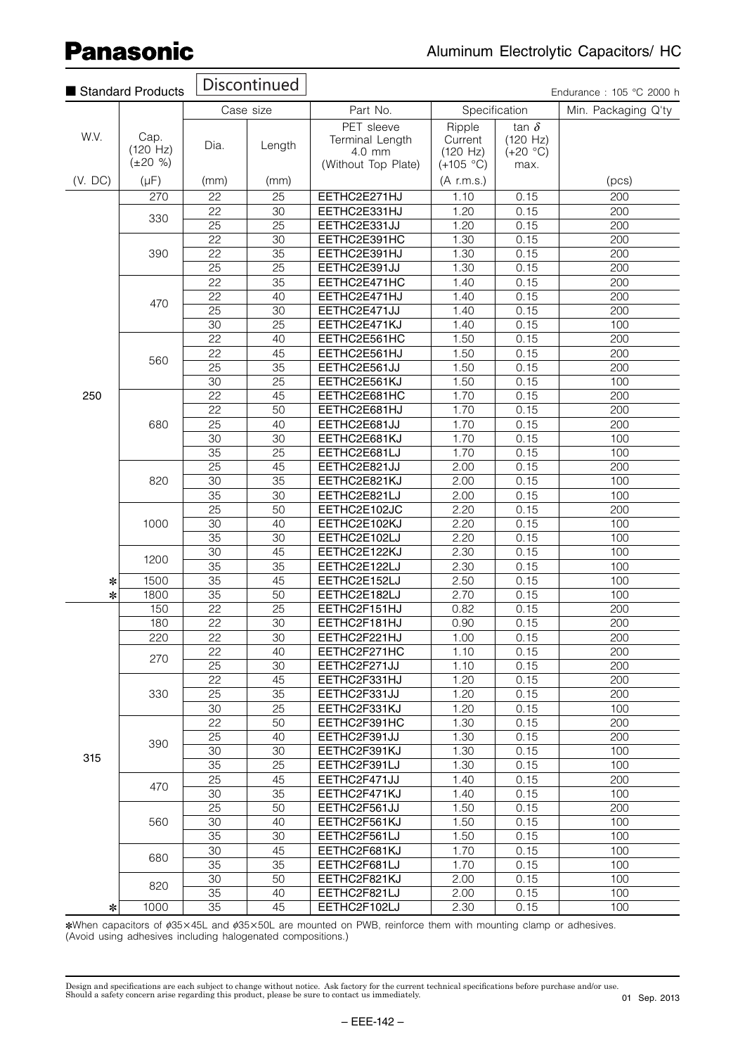| Standard Products |                                   |                 | Discontinued    |                                                                |                                              |                                                | Endurance: 105 °C 2000 h |
|-------------------|-----------------------------------|-----------------|-----------------|----------------------------------------------------------------|----------------------------------------------|------------------------------------------------|--------------------------|
|                   |                                   |                 | Case size       | Part No.                                                       |                                              | Specification                                  | Min. Packaging Q'ty      |
| W.V.              | Cap.<br>(120 Hz)<br>$(\pm 20 \%)$ | Dia.            | Length          | PET sleeve<br>Terminal Length<br>4.0 mm<br>(Without Top Plate) | Ripple<br>Current<br>(120 Hz)<br>$(+105 °C)$ | tan $\delta$<br>(120 Hz)<br>$(+20 °C)$<br>max. |                          |
| (V. DC)           | $(\mu F)$                         | (mm)            | (mm)            |                                                                | $(A$ r.m.s.)                                 |                                                | (pcs)                    |
|                   | 270                               | 22              | 25              | EETHC2E271HJ                                                   | 1.10                                         | 0.15                                           | 200                      |
|                   |                                   | 22              | $\overline{30}$ | EETHC2E331HJ                                                   | 1.20                                         | 0.15                                           | 200                      |
|                   | 330                               | 25              | 25              | EETHC2E331JJ                                                   | 1.20                                         | 0.15                                           | 200                      |
|                   |                                   | $\overline{22}$ | $\overline{30}$ | EETHC2E391HC                                                   | 1.30                                         | 0.15                                           | 200                      |
|                   | 390                               | $\overline{22}$ | $\overline{35}$ | EETHC2E391HJ                                                   | 1.30                                         | 0.15                                           | 200                      |
|                   |                                   | 25              | 25              | EETHC2E391JJ                                                   | 1.30                                         | 0.15                                           | 200                      |
|                   |                                   | 22              | 35              | EETHC2E471HC                                                   | 1.40                                         | 0.15                                           | 200                      |
|                   | 470                               | 22              | 40              | EETHC2E471HJ                                                   | 1.40                                         | 0.15                                           | 200                      |
|                   |                                   | 25              | 30              | EETHC2E471JJ                                                   | 1.40                                         | 0.15                                           | 200                      |
|                   |                                   | $\overline{30}$ | $\overline{25}$ | EETHC2E471KJ                                                   | 1.40                                         | 0.15                                           | 100                      |
|                   |                                   | 22              | 40              | EETHC2E561HC                                                   | 1.50                                         | 0.15                                           | 200                      |
|                   |                                   | 22              | 45              | EETHC2E561HJ                                                   | 1.50                                         | 0.15                                           | 200                      |
|                   | 560                               | $\overline{25}$ | $\overline{35}$ | EETHC2E561JJ                                                   | 1.50                                         | 0.15                                           | $\overline{200}$         |
|                   |                                   | 30              | $\overline{25}$ | EETHC2E561KJ                                                   | 1.50                                         | 0.15                                           | 100                      |
| 250               |                                   | 22              | 45              | EETHC2E681HC                                                   | 1.70                                         | 0.15                                           | 200                      |
|                   |                                   | 22              | 50              | EETHC2E681HJ                                                   | 1.70                                         | 0.15                                           | 200                      |
|                   | 680                               | 25              | 40              | EETHC2E681JJ                                                   | 1.70                                         | 0.15                                           | 200                      |
|                   |                                   | $\overline{30}$ | 30              | EETHC2E681KJ                                                   | 1.70                                         | 0.15                                           | 100                      |
|                   |                                   | 35              | 25              | EETHC2E681LJ                                                   | 1.70                                         | 0.15                                           | 100                      |
|                   |                                   | 25              | 45              | EETHC2E821JJ                                                   | 2.00                                         | 0.15                                           | 200                      |
|                   | 820                               | 30              | $\overline{35}$ | EETHC2E821KJ                                                   | 2.00                                         | 0.15                                           | 100                      |
|                   |                                   | $\overline{35}$ | $\overline{30}$ | EETHC2E821LJ                                                   | 2.00                                         | 0.15                                           | 100                      |
|                   |                                   | 25              | 50              | EETHC2E102JC                                                   | 2.20                                         | 0.15                                           | 200                      |
|                   | 1000                              | 30              | 40              | EETHC2E102KJ                                                   | 2.20                                         | 0.15                                           | 100                      |
|                   |                                   | 35              | 30              | EETHC2E102LJ                                                   | 2.20                                         | 0.15                                           | 100                      |
|                   | 1200                              | 30              | 45              | EETHC2E122KJ                                                   | 2.30                                         | 0.15                                           | 100                      |
|                   |                                   | 35              | 35              | EETHC2E122LJ                                                   | 2.30                                         | 0.15                                           | 100                      |
| ∗                 | 1500                              | $\overline{35}$ | 45              | EETHC2E152LJ                                                   | 2.50                                         | 0.15                                           | 100                      |
| $\ast$            | 1800                              | $\overline{35}$ | $\overline{50}$ | EETHC2E182LJ                                                   | 2.70                                         | 0.15                                           | 100                      |
|                   | 150                               | $\overline{22}$ | $\overline{25}$ | EETHC2F151HJ                                                   | 0.82                                         | 0.15                                           | 200                      |
|                   | 180                               | 22              | 30              | EETHC2F181HJ                                                   | 0.90                                         | 0.15                                           | 200                      |
|                   | 220                               | $\overline{22}$ | 30              | EETHC2F221HJ                                                   | 1.00                                         | 0.15                                           | 200                      |
|                   | 270                               | 22              | 40              | EETHC2F271HC                                                   | 1.10                                         | 0.15                                           | 200                      |
|                   |                                   | 25              | 30              | EETHC2F271JJ                                                   | 1.10                                         | 0.15                                           | 200                      |
|                   |                                   | 22              | 45              | EETHC2F331HJ                                                   | 1.20                                         | 0.15                                           | 200                      |
|                   | 330                               | 25              | 35              | EETHC2F331JJ                                                   | 1.20                                         | 0.15                                           | 200                      |
|                   |                                   | 30              | 25              | EETHC2F331KJ                                                   | 1.20                                         | 0.15                                           | 100                      |
|                   |                                   | 22              | 50              | EETHC2F391HC                                                   | 1.30                                         | 0.15                                           | 200                      |
|                   | 390                               | 25              | 40              | EETHC2F391JJ                                                   | 1.30                                         | 0.15                                           | 200                      |
| 315               |                                   | 30              | 30              | EETHC2F391KJ                                                   | 1.30                                         | 0.15                                           | 100                      |
|                   |                                   | 35              | 25              | EETHC2F391LJ                                                   | 1.30                                         | 0.15                                           | 100                      |
|                   | 470                               | 25              | 45              | EETHC2F471JJ                                                   | 1.40                                         | 0.15                                           | 200                      |
|                   |                                   | 30              | 35              | EETHC2F471KJ                                                   | 1.40                                         | 0.15                                           | 100                      |
|                   |                                   | 25              | 50              | EETHC2F561JJ                                                   | 1.50                                         | 0.15                                           | 200                      |
|                   | 560                               | 30              | 40              | EETHC2F561KJ                                                   | 1.50                                         | 0.15                                           | 100                      |
|                   |                                   | 35              | 30              | EETHC2F561LJ                                                   | 1.50                                         | 0.15                                           | 100                      |
|                   | 680                               | 30              | 45              | EETHC2F681KJ                                                   | 1.70                                         | 0.15                                           | 100                      |
|                   |                                   | 35              | 35              | EETHC2F681LJ                                                   | 1.70                                         | 0.15                                           | 100                      |
|                   | 820                               | 30              | 50              | EETHC2F821KJ                                                   | 2.00                                         | 0.15                                           | 100                      |
|                   |                                   | 35              | 40              | EETHC2F821LJ                                                   | 2.00                                         | 0.15                                           | 100                      |
| $\ast$            | 1000                              | 35              | 45              | EETHC2F102LJ                                                   | 2.30                                         | 0.15                                           | 100                      |

∗When capacitors of ¢35×45L and ¢35×50L are mounted on PWB, reinforce them with mounting clamp or adhesives. (Avoid using adhesives including halogenated compositions.)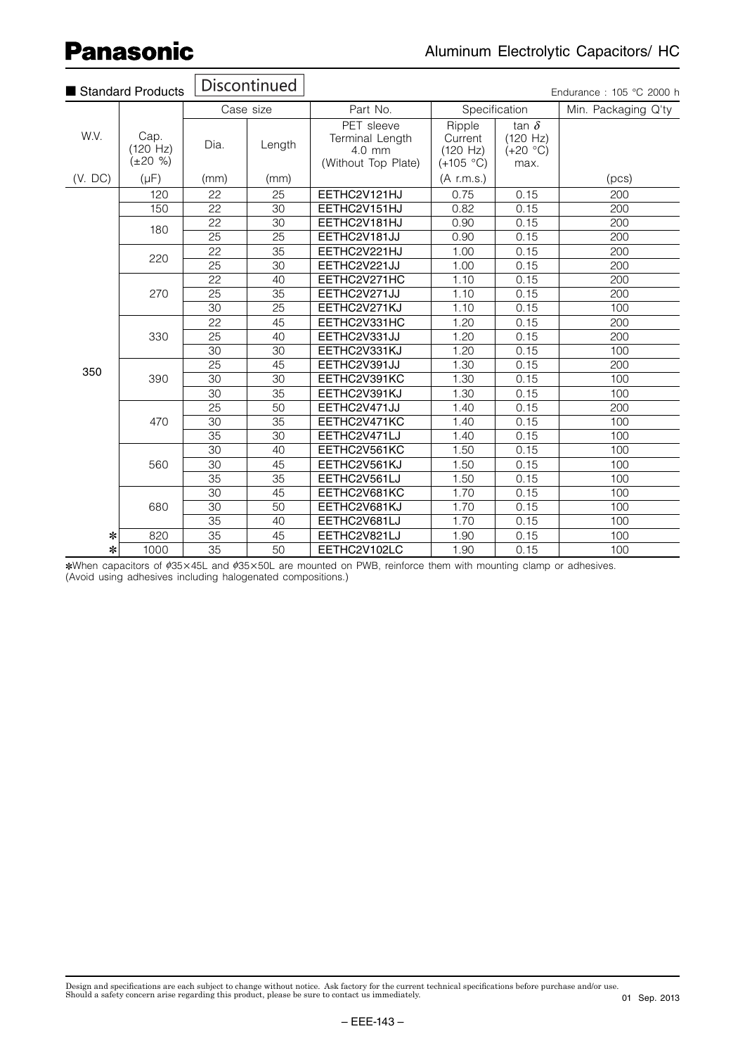$\overline{\phantom{a}}$ 

 $\overline{\phantom{a}}$ 

 $\overline{\blacksquare}$ 

|         | Standard Products                     |                 | Discontinued    |                                                                |                                              |                                                | Endurance: 105 °C 2000 h |
|---------|---------------------------------------|-----------------|-----------------|----------------------------------------------------------------|----------------------------------------------|------------------------------------------------|--------------------------|
|         |                                       |                 | Case size       | Part No.                                                       |                                              | Specification                                  | Min. Packaging Q'ty      |
| W.V.    | Cap.<br>$(120 \ Hz)$<br>$(\pm 20 \%)$ | Dia.            | Length          | PET sleeve<br>Terminal Length<br>4.0 mm<br>(Without Top Plate) | Ripple<br>Current<br>(120 Hz)<br>$(+105 °C)$ | tan $\delta$<br>(120 Hz)<br>$(+20 °C)$<br>max. |                          |
| (V. DC) | $(\mu F)$                             | (mm)            | (mm)            |                                                                | $(A \text{ r.m.s.})$                         |                                                | (pcs)                    |
|         | 120                                   | 22              | 25              | EETHC2V121HJ                                                   | 0.75                                         | 0.15                                           | 200                      |
|         | 150                                   | $\overline{22}$ | $\overline{30}$ | EETHC2V151HJ                                                   | 0.82                                         | 0.15                                           | 200                      |
|         | 180                                   | 22              | 30              | EETHC2V181HJ                                                   | 0.90                                         | 0.15                                           | 200                      |
|         |                                       | $\overline{25}$ | $\overline{25}$ | EETHC2V181JJ                                                   | 0.90                                         | 0.15                                           | 200                      |
|         | 220                                   | 22              | 35              | EETHC2V221HJ                                                   | 1.00                                         | 0.15                                           | 200                      |
|         |                                       | 25              | 30              | EETHC2V221JJ                                                   | 1.00                                         | 0.15                                           | 200                      |
|         |                                       | 22              | 40              | EETHC2V271HC                                                   | 1.10                                         | 0.15                                           | 200                      |
|         | 270                                   | 25              | $\overline{35}$ | EETHC2V271JJ                                                   | 1.10                                         | 0.15                                           | 200                      |
|         |                                       | 30              | 25              | EETHC2V271KJ                                                   | 1.10                                         | 0.15                                           | 100                      |
|         |                                       | $\overline{22}$ | 45              | EETHC2V331HC                                                   | 1.20                                         | 0.15                                           | 200                      |
|         | 330                                   | 25              | 40              | EETHC2V331JJ                                                   | 1.20                                         | 0.15                                           | 200                      |
|         |                                       | 30              | $\overline{30}$ | EETHC2V331KJ                                                   | 1.20                                         | 0.15                                           | 100                      |
| 350     |                                       | 25              | 45              | EETHC2V391JJ                                                   | 1.30                                         | 0.15                                           | 200                      |
|         | 390                                   | 30              | 30              | EETHC2V391KC                                                   | 1.30                                         | 0.15                                           | 100                      |
|         |                                       | 30              | 35              | EETHC2V391KJ                                                   | 1.30                                         | 0.15                                           | 100                      |
|         |                                       | $\overline{25}$ | $\overline{50}$ | EETHC2V471JJ                                                   | 1.40                                         | 0.15                                           | 200                      |
|         | 470                                   | 30              | 35              | EETHC2V471KC                                                   | 1.40                                         | 0.15                                           | 100                      |
|         |                                       | $\overline{35}$ | 30              | EETHC2V471LJ                                                   | 1.40                                         | 0.15                                           | 100                      |
|         |                                       | 30              | 40              | EETHC2V561KC                                                   | 1.50                                         | 0.15                                           | 100                      |
|         | 560                                   | $\overline{30}$ | 45              | EETHC2V561KJ                                                   | 1.50                                         | 0.15                                           | 100                      |
|         |                                       | 35              | 35              | EETHC2V561LJ                                                   | 1.50                                         | 0.15                                           | 100                      |
|         |                                       | 30              | 45              | EETHC2V681KC                                                   | 1.70                                         | 0.15                                           | 100                      |
|         | 680                                   | 30              | 50              | EETHC2V681KJ                                                   | 1.70                                         | 0.15                                           | 100                      |
|         |                                       | 35              | 40              | EETHC2V681LJ                                                   | 1.70                                         | 0.15                                           | 100                      |
| ∗       | 820                                   | 35              | 45              | EETHC2V821LJ                                                   | 1.90                                         | 0.15                                           | 100                      |
| *       | 1000                                  | $\overline{35}$ | 50              | EETHC2V102LC                                                   | 1.90                                         | 0.15                                           | 100                      |

\*When capacitors of ¢35×45L and ¢35×50L are mounted on PWB, reinforce them with mounting clamp or adhesives. (Avoid using adhesives including halogenated compositions.)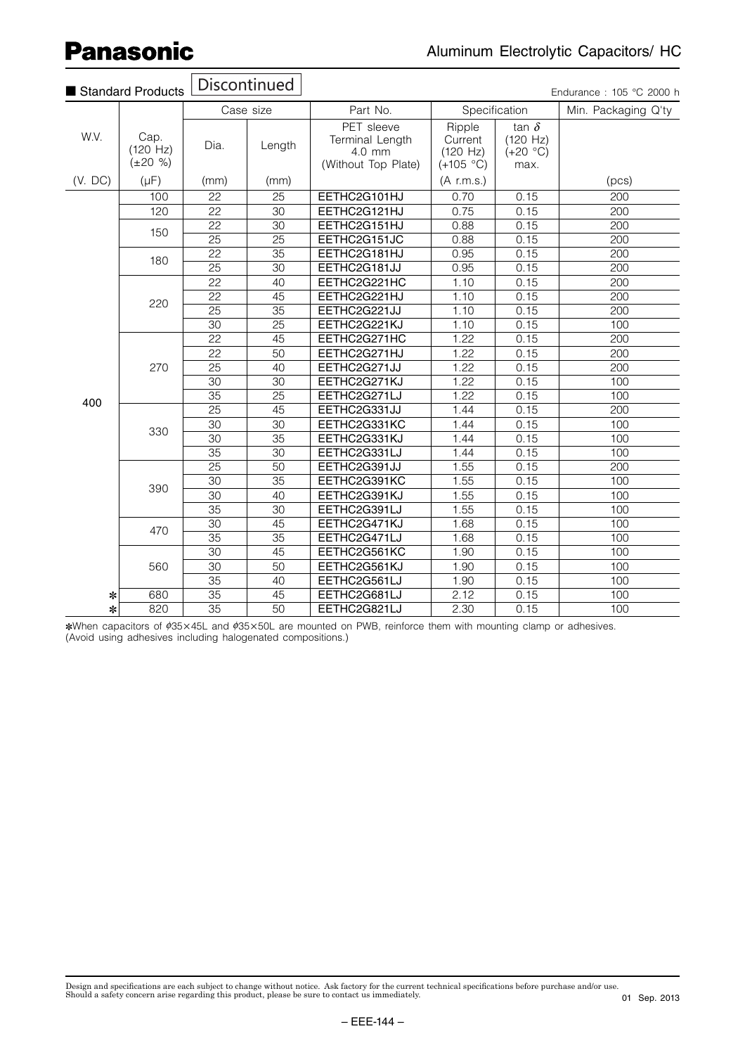$\sqrt{Dirichlet}$ 

|         | Standard Products                     | <b>DISCONTINUED</b> |                 |                                                                |                                              |                                                | Endurance: 105 °C 2000 h |     |
|---------|---------------------------------------|---------------------|-----------------|----------------------------------------------------------------|----------------------------------------------|------------------------------------------------|--------------------------|-----|
|         |                                       |                     | Case size       | Part No.                                                       |                                              | Specification                                  | Min. Packaging Q'ty      |     |
| W.V.    | Cap.<br>$(120 \ Hz)$<br>$(\pm 20 \%)$ | Dia.                | Length          | PET sleeve<br>Terminal Length<br>4.0 mm<br>(Without Top Plate) | Ripple<br>Current<br>(120 Hz)<br>$(+105 °C)$ | tan $\delta$<br>(120 Hz)<br>$(+20 °C)$<br>max. |                          |     |
| (V. DC) | $(\mu F)$                             | (mm)                | (mm)            |                                                                | $(A$ r.m.s.)                                 |                                                | (pcs)                    |     |
|         | 100                                   | 22                  | 25              | EETHC2G101HJ                                                   | 0.70                                         | 0.15                                           | $\overline{200}$         |     |
|         | 120                                   | $\overline{22}$     | $\overline{30}$ | EETHC2G121HJ                                                   | 0.75                                         | 0.15                                           | 200                      |     |
|         |                                       | 22                  | 30              | EETHC2G151HJ                                                   | 0.88                                         | 0.15                                           | 200                      |     |
|         | 150                                   | $\overline{25}$     | $\overline{25}$ | EETHC2G151JC                                                   | 0.88                                         | 0.15                                           | $\overline{200}$         |     |
|         |                                       | $\overline{22}$     | $\overline{35}$ | EETHC2G181HJ                                                   | 0.95                                         | 0.15                                           | 200                      |     |
|         | 180                                   | $\overline{25}$     | $\overline{30}$ | EETHC2G181JJ                                                   | 0.95                                         | 0.15                                           | 200                      |     |
|         |                                       |                     | $\overline{22}$ | 40                                                             | EETHC2G221HC                                 | 1.10                                           | 0.15                     | 200 |
|         | 220                                   | 22                  | 45              | EETHC2G221HJ                                                   | 1.10                                         | 0.15                                           | 200                      |     |
|         |                                       | $\overline{25}$     | $\overline{35}$ | EETHC2G221JJ                                                   | 1.10                                         | 0.15                                           | $\overline{200}$         |     |
|         |                                       | $\overline{30}$     | $\overline{25}$ | EETHC2G221KJ                                                   | 1.10                                         | 0.15                                           | 100                      |     |
|         |                                       | 22                  | 45              | EETHC2G271HC                                                   | 1.22                                         | 0.15                                           | 200                      |     |
|         |                                       | $\overline{22}$     | $\overline{50}$ | EETHC2G271HJ                                                   | 1.22                                         | 0.15                                           | 200                      |     |
|         | 270                                   | $\overline{25}$     | $\overline{40}$ | EETHC2G271JJ                                                   | 1.22                                         | 0.15                                           | $\overline{200}$         |     |
|         |                                       | $\overline{30}$     | $\overline{30}$ | EETHC2G271KJ                                                   | 1.22                                         | 0.15                                           | 100                      |     |
| 400     |                                       | 35                  | $\overline{25}$ | EETHC2G271LJ                                                   | 1.22                                         | 0.15                                           | 100                      |     |
|         |                                       | $\overline{25}$     | $\overline{45}$ | EETHC2G331JJ                                                   | 1.44                                         | 0.15                                           | 200                      |     |
|         | 330                                   | $\overline{30}$     | $\overline{30}$ | EETHC2G331KC                                                   | 1.44                                         | 0.15                                           | 100                      |     |
|         |                                       | $\overline{30}$     | $\overline{35}$ | EETHC2G331KJ                                                   | 1.44                                         | 0.15                                           | 100                      |     |
|         |                                       | 35                  | 30              | EETHC2G331LJ                                                   | 1.44                                         | 0.15                                           | 100                      |     |
|         |                                       | $\overline{25}$     | $\overline{50}$ | EETHC2G391JJ                                                   | 1.55                                         | 0.15                                           | 200                      |     |
|         | 390                                   | $\overline{30}$     | $\overline{35}$ | EETHC2G391KC                                                   | 1.55                                         | 0.15                                           | 100                      |     |
|         |                                       | $\overline{30}$     | 40              | EETHC2G391KJ                                                   | 1.55                                         | 0.15                                           | 100                      |     |
|         |                                       | 35                  | 30              | EETHC2G391LJ                                                   | 1.55                                         | 0.15                                           | 100                      |     |
|         | 470                                   | $\overline{30}$     | 45              | EETHC2G471KJ                                                   | 1.68                                         | 0.15                                           | 100                      |     |
|         |                                       | $\overline{35}$     | $\overline{35}$ | EETHC2G471LJ                                                   | 1.68                                         | 0.15                                           | 100                      |     |
|         |                                       | $\overline{30}$     | 45              | EETHC2G561KC                                                   | 1.90                                         | 0.15                                           | 100                      |     |
|         | 560                                   | 30                  | 50              | EETHC2G561KJ                                                   | 1.90                                         | 0.15                                           | 100                      |     |
|         |                                       | $\overline{35}$     | 40              | EETHC2G561LJ                                                   | 1.90                                         | 0.15                                           | 100                      |     |
| ∗       | 680                                   | $\overline{35}$     | $\overline{45}$ | EETHC2G681LJ                                                   | 2.12                                         | 0.15                                           | 100                      |     |
| *       | 820                                   | $\overline{35}$     | $\overline{50}$ | EETHC2G821LJ                                                   | 2.30                                         | 0.15                                           | 100                      |     |

\*When capacitors of ¢35×45L and ¢35×50L are mounted on PWB, reinforce them with mounting clamp or adhesives. (Avoid using adhesives including halogenated compositions.)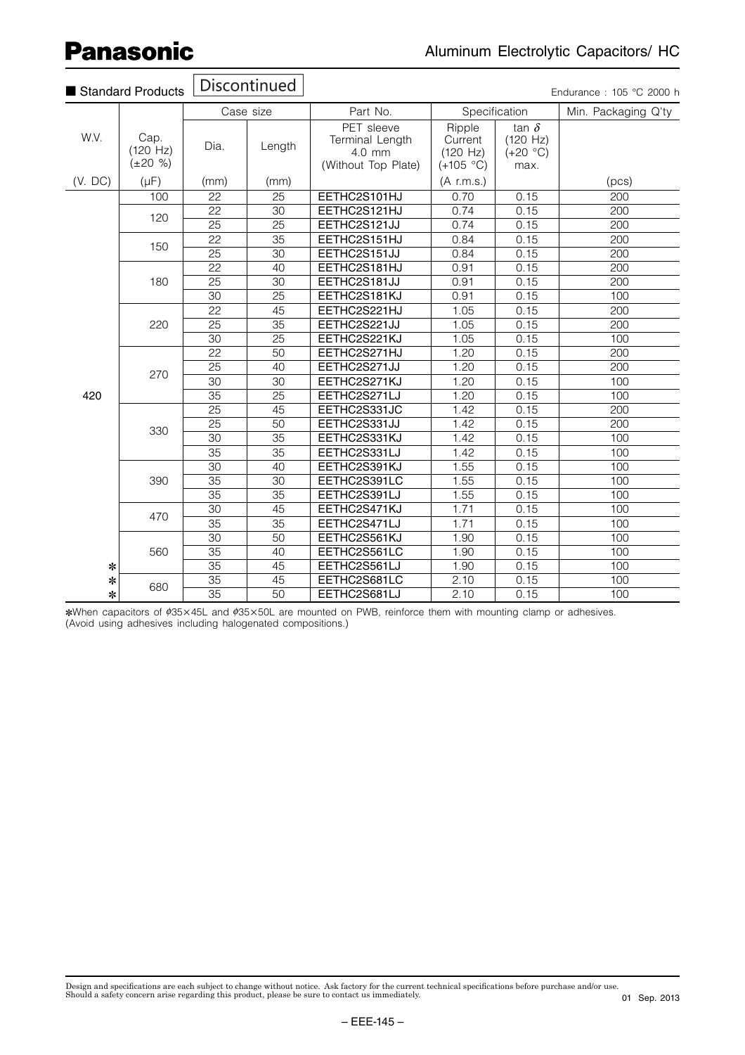| Standard Products |                                       |                 | Discontinued    |                                                                |                                              |                                                | Endurance: 105 °C 2000 h |
|-------------------|---------------------------------------|-----------------|-----------------|----------------------------------------------------------------|----------------------------------------------|------------------------------------------------|--------------------------|
|                   |                                       |                 | Case size       | Part No.<br>Specification                                      |                                              |                                                | Min. Packaging Q'ty      |
| W.V.              | Cap.<br>$(120 \ Hz)$<br>$(\pm 20 \%)$ | Dia.            | Length          | PET sleeve<br>Terminal Length<br>4.0 mm<br>(Without Top Plate) | Ripple<br>Current<br>(120 Hz)<br>$(+105 °C)$ | tan $\delta$<br>(120 Hz)<br>$(+20 °C)$<br>max. |                          |
| (V. DC)           | $(\mu F)$                             | (mm)            | (mm)            |                                                                | $(A \,$ r.m.s.)                              |                                                | (pcs)                    |
|                   | 100                                   | 22              | 25              | EETHC2S101HJ                                                   | 0.70                                         | 0.15                                           | 200                      |
|                   | 120                                   | 22              | $\overline{30}$ | EETHC2S121HJ                                                   | 0.74                                         | 0.15                                           | 200                      |
|                   |                                       | 25              | 25              | EETHC2S121JJ                                                   | 0.74                                         | 0.15                                           | 200                      |
|                   | 150                                   | $\overline{22}$ | $\overline{35}$ | EETHC2S151HJ                                                   | 0.84                                         | 0.15                                           | 200                      |
|                   |                                       | 25              | 30              | EETHC2S151JJ                                                   | 0.84                                         | 0.15                                           | 200                      |
|                   |                                       | $\overline{22}$ | 40              | EETHC2S181HJ                                                   | 0.91                                         | 0.15                                           | 200                      |
|                   | 180                                   | $\overline{25}$ | $\overline{30}$ | EETHC2S181JJ                                                   | 0.91                                         | 0.15                                           | $\overline{200}$         |
|                   |                                       | 30              | $\overline{25}$ | EETHC2S181KJ                                                   | 0.91                                         | 0.15                                           | 100                      |
|                   |                                       | $\overline{22}$ | 45              | EETHC2S221HJ                                                   | 1.05                                         | 0.15                                           | 200                      |
|                   | 220                                   | $\overline{25}$ | $\overline{35}$ | EETHC2S221JJ                                                   | 1.05                                         | 0.15                                           | 200                      |
|                   |                                       | 30              | $\overline{25}$ | EETHC2S221KJ                                                   | 1.05                                         | 0.15                                           | 100                      |
|                   |                                       | $\overline{22}$ | $\overline{50}$ | EETHC2S271HJ                                                   | 1.20                                         | 0.15                                           | 200                      |
|                   |                                       | 25              | 40              | EETHC2S271JJ                                                   | 1.20                                         | 0.15                                           | 200                      |
|                   | 270                                   | $\overline{30}$ | $\overline{30}$ | EETHC2S271KJ                                                   | 1.20                                         | 0.15                                           | 100                      |
| 420               |                                       | $\overline{35}$ | $\overline{25}$ | EETHC2S271LJ                                                   | 1.20                                         | 0.15                                           | 100                      |
|                   |                                       | 25              | 45              | EETHC2S331JC                                                   | 1.42                                         | 0.15                                           | 200                      |
|                   |                                       | 25              | 50              | EETHC2S331JJ                                                   | 1.42                                         | 0.15                                           | 200                      |
|                   | 330                                   | 30              | $\overline{35}$ | EETHC2S331KJ                                                   | 1.42                                         | 0.15                                           | 100                      |
|                   |                                       | $\overline{35}$ | $\overline{35}$ | EETHC2S331LJ                                                   | 1.42                                         | 0.15                                           | 100                      |
|                   |                                       | $\overline{30}$ | 40              | EETHC2S391KJ                                                   | 1.55                                         | 0.15                                           | 100                      |
|                   | 390                                   | 35              | 30              | EETHC2S391LC                                                   | 1.55                                         | 0.15                                           | 100                      |
|                   |                                       | $\overline{35}$ | $\overline{35}$ | EETHC2S391LJ                                                   | 1.55                                         | 0.15                                           | 100                      |
|                   |                                       | $\overline{30}$ | $\overline{45}$ | EETHC2S471KJ                                                   | 1.71                                         | 0.15                                           | 100                      |
|                   | 470                                   | $\overline{35}$ | $\overline{35}$ | EETHC2S471LJ                                                   | 1.71                                         | 0.15                                           | 100                      |
|                   |                                       | 30              | 50              | EETHC2S561KJ                                                   | 1.90                                         | 0.15                                           | 100                      |
|                   | 560                                   | $\overline{35}$ | 40              | EETHC2S561LC                                                   | 1.90                                         | 0.15                                           | 100                      |
| ∗                 |                                       | $\overline{35}$ | $\overline{45}$ | EETHC2S561LJ                                                   | 1.90                                         | 0.15                                           | 100                      |
| *                 |                                       | $\overline{35}$ | $\overline{45}$ | EETHC2S681LC                                                   | 2.10                                         | 0.15                                           | 100                      |
| $\ast$            | 680                                   | $\overline{35}$ | $\overline{50}$ | EETHC2S681LJ                                                   | 2.10                                         | 0.15                                           | 100                      |

\*When capacitors of ¢35×45L and ¢35×50L are mounted on PWB, reinforce them with mounting clamp or adhesives. (Avoid using adhesives including halogenated compositions.)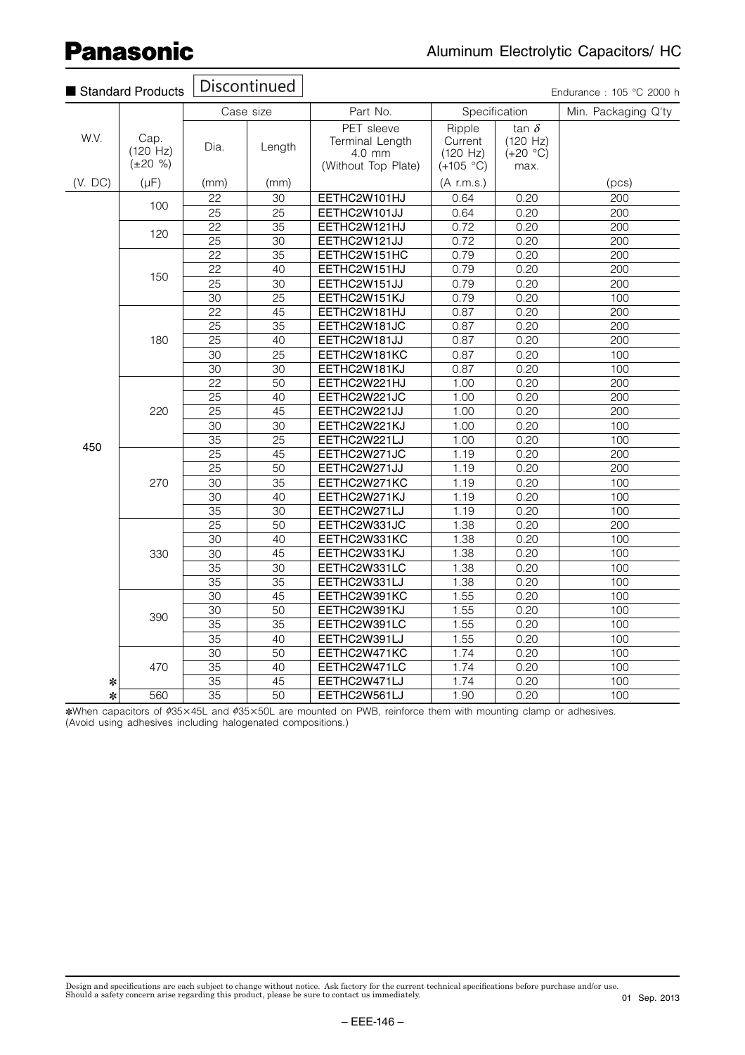| Standard Products |                                       | Discontinued    |                 | Endurance: 105 °C 2000 h                                       |                                              |                                                |                     |
|-------------------|---------------------------------------|-----------------|-----------------|----------------------------------------------------------------|----------------------------------------------|------------------------------------------------|---------------------|
|                   |                                       | Case size       |                 | Part No.                                                       | Specification                                |                                                | Min. Packaging Q'ty |
| W.V.              | Cap.<br>$(120 \ Hz)$<br>$(\pm 20 \%)$ | Dia.            | Length          | PET sleeve<br>Terminal Length<br>4.0 mm<br>(Without Top Plate) | Ripple<br>Current<br>(120 Hz)<br>$(+105 °C)$ | tan $\delta$<br>(120 Hz)<br>$(+20 °C)$<br>max. |                     |
| (V. DC)           | $(\mu F)$                             | (mm)            | (mm)            |                                                                | $(A$ r.m.s.)                                 |                                                | (pcs)               |
|                   | 100                                   | 22              | 30              | EETHC2W101HJ                                                   | 0.64                                         | 0.20                                           | $\frac{200}{ }$     |
|                   |                                       | $\overline{25}$ | $\overline{25}$ | EETHC2W101JJ                                                   | 0.64                                         | 0.20                                           | 200                 |
|                   | 120                                   | 22              | 35              | EETHC2W121HJ                                                   | 0.72                                         | 0.20                                           | 200                 |
|                   |                                       | $\overline{25}$ | $\overline{30}$ | EETHC2W121JJ                                                   | 0.72                                         | 0.20                                           | 200                 |
|                   | 150                                   | $\overline{22}$ | $\overline{35}$ | EETHC2W151HC                                                   | 0.79                                         | 0.20                                           | $\overline{200}$    |
|                   |                                       | $\overline{22}$ | 40              | EETHC2W151HJ                                                   | 0.79                                         | 0.20                                           | 200                 |
|                   |                                       | 25              | 30              | EETHC2W151JJ                                                   | 0.79                                         | 0.20                                           | 200                 |
|                   |                                       | $\overline{30}$ | $\overline{25}$ | EETHC2W151KJ                                                   | 0.79                                         | 0.20                                           | 100                 |
|                   | 180                                   | $\overline{22}$ | $\overline{45}$ | EETHC2W181HJ                                                   | 0.87                                         | 0.20                                           | $\overline{200}$    |
|                   |                                       | $\overline{25}$ | $\overline{35}$ | EETHC2W181JC                                                   | 0.87                                         | 0.20                                           | 200                 |
|                   |                                       | 25              | 40              | EETHC2W181JJ                                                   | 0.87                                         | 0.20                                           | 200                 |
|                   |                                       | 30              | $\overline{25}$ | EETHC2W181KC                                                   | 0.87                                         | 0.20                                           | 100                 |
|                   |                                       | 30              | 30              | EETHC2W181KJ                                                   | 0.87                                         | 0.20                                           | 100                 |
|                   | 220                                   | $\overline{22}$ | 50              | EETHC2W221HJ                                                   | 1.00                                         | 0.20                                           | 200                 |
|                   |                                       | 25              | 40              | EETHC2W221JC                                                   | 1.00                                         | 0.20                                           | 200                 |
|                   |                                       | 25              | 45              | EETHC2W221JJ                                                   | 1.00                                         | 0.20                                           | 200                 |
|                   |                                       | $\overline{30}$ | $\overline{30}$ | EETHC2W221KJ                                                   | 1.00                                         | 0.20                                           | 100                 |
| 450               |                                       | 35              | $\overline{25}$ | EETHC2W221LJ                                                   | 1.00                                         | 0.20                                           | 100                 |
|                   | 270                                   | 25              | 45              | EETHC2W271JC                                                   | 1.19                                         | 0.20                                           | 200                 |
|                   |                                       | $\overline{25}$ | $\overline{50}$ | EETHC2W271JJ                                                   | 1.19                                         | 0.20                                           | 200                 |
|                   |                                       | $\overline{30}$ | $\overline{35}$ | EETHC2W271KC                                                   | 1.19                                         | 0.20                                           | 100                 |
|                   |                                       | 30              | 40              | EETHC2W271KJ                                                   | 1.19                                         | 0.20                                           | 100                 |
|                   |                                       | $\overline{35}$ | $\overline{30}$ | EETHC2W271LJ                                                   | 1.19                                         | 0.20                                           | 100                 |
|                   | 330                                   | $\overline{25}$ | 50              | EETHC2W331JC                                                   | 1.38                                         | 0.20                                           | 200                 |
|                   |                                       | $\overline{30}$ | $\overline{40}$ | EETHC2W331KC                                                   | 1.38                                         | 0.20                                           | 100                 |
|                   |                                       | 30              | 45              | EETHC2W331KJ                                                   | 1.38                                         | 0.20                                           | 100                 |
|                   |                                       | 35              | 30              | EETHC2W331LC                                                   | 1.38                                         | 0.20                                           | 100                 |
|                   |                                       | $\overline{35}$ | $\overline{35}$ | EETHC2W331LJ                                                   | 1.38                                         | 0.20                                           | 100                 |
|                   | 390                                   | 30              | 45              | EETHC2W391KC                                                   | 1.55                                         | 0.20                                           | 100                 |
|                   |                                       | 30              | $\overline{50}$ | EETHC2W391KJ                                                   | 1.55                                         | 0.20                                           | 100                 |
|                   |                                       | 35              | 35              | EETHC2W391LC                                                   | 1.55                                         | 0.20                                           | 100                 |
|                   |                                       | 35              | 40              | EETHC2W391LJ                                                   | 1.55                                         | 0.20                                           | 100                 |
|                   | 470                                   | $\overline{30}$ | $\overline{50}$ | EETHC2W471KC                                                   | 1.74                                         | 0.20                                           | 100                 |
|                   |                                       | $\overline{35}$ | 40              | EETHC2W471LC                                                   | 1.74                                         | 0.20                                           | 100                 |
| ∗                 |                                       | 35              | 45              | EETHC2W471LJ                                                   | 1.74                                         | 0.20                                           | 100                 |
| $\ast$            | 560                                   | $\overline{35}$ | $\overline{50}$ | EETHC2W561LJ                                                   | 1.90                                         | 0.20                                           | 100                 |

\*When capacitors of ¢35×45L and ¢35×50L are mounted on PWB, reinforce them with mounting clamp or adhesives. (Avoid using adhesives including halogenated compositions.)